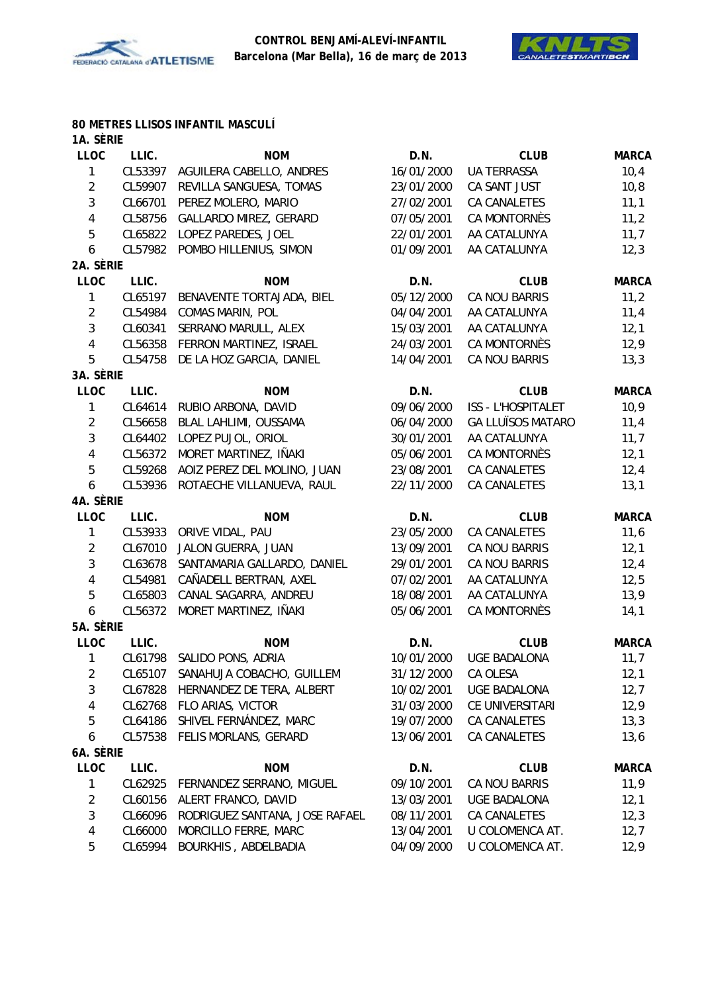



#### **80 METRES LLISOS INFANTIL MASCULÍ 1A. SÈRIE**

| 17.9           |         |                                   |            |                           |              |
|----------------|---------|-----------------------------------|------------|---------------------------|--------------|
| <b>LLOC</b>    | LLIC.   | <b>NOM</b>                        | D.N.       | <b>CLUB</b>               | <b>MARCA</b> |
| $\mathbf{1}$   | CL53397 | AGUILERA CABELLO, ANDRES          | 16/01/2000 | UA TERRASSA               | 10,4         |
| $\overline{2}$ | CL59907 | REVILLA SANGUESA, TOMAS           | 23/01/2000 | CA SANT JUST              | 10, 8        |
| $\mathfrak{Z}$ | CL66701 | PEREZ MOLERO, MARIO               | 27/02/2001 | CA CANALETES              | 11,1         |
| $\pmb{4}$      | CL58756 | GALLARDO MIREZ, GERARD            | 07/05/2001 | <b>CA MONTORNÈS</b>       | 11,2         |
| 5              | CL65822 | LOPEZ PAREDES, JOEL               | 22/01/2001 | AA CATALUNYA              | 11,7         |
| 6              | CL57982 | POMBO HILLENIUS, SIMON            | 01/09/2001 | AA CATALUNYA              | 12,3         |
| 2A. SÈRIE      |         |                                   |            |                           |              |
| <b>LLOC</b>    | LLIC.   | <b>NOM</b>                        | D.N.       | <b>CLUB</b>               | <b>MARCA</b> |
| $\mathbf{1}$   | CL65197 | BENAVENTE TORTAJADA, BIEL         | 05/12/2000 | CA NOU BARRIS             | 11,2         |
| $\overline{2}$ | CL54984 | COMAS MARIN, POL                  | 04/04/2001 | AA CATALUNYA              | 11,4         |
| $\mathfrak{Z}$ | CL60341 | SERRANO MARULL, ALEX              | 15/03/2001 | AA CATALUNYA              | 12,1         |
| $\sqrt{4}$     | CL56358 | FERRON MARTINEZ, ISRAEL           | 24/03/2001 | CA MONTORNÈS              | 12,9         |
| 5              | CL54758 | DE LA HOZ GARCIA, DANIEL          | 14/04/2001 | CA NOU BARRIS             | 13,3         |
| 3A. SÈRIE      |         |                                   |            |                           |              |
| <b>LLOC</b>    | LLIC.   | <b>NOM</b>                        | D.N.       | <b>CLUB</b>               | <b>MARCA</b> |
| $\mathbf{1}$   | CL64614 | RUBIO ARBONA, DAVID               | 09/06/2000 | <b>ISS - L'HOSPITALET</b> | 10,9         |
| $\overline{2}$ | CL56658 | BLAL LAHLIMI, OUSSAMA             | 06/04/2000 | <b>GA LLUÏSOS MATARO</b>  | 11,4         |
| $\mathbf{3}$   | CL64402 | LOPEZ PUJOL, ORIOL                | 30/01/2001 | AA CATALUNYA              | 11,7         |
| $\overline{4}$ | CL56372 | MORET MARTINEZ, IÑAKI             | 05/06/2001 | CA MONTORNÈS              | 12,1         |
| 5              | CL59268 | AOIZ PEREZ DEL MOLINO, JUAN       | 23/08/2001 | CA CANALETES              | 12,4         |
| 6              | CL53936 | ROTAECHE VILLANUEVA, RAUL         | 22/11/2000 | CA CANALETES              | 13,1         |
| 4A. SÈRIE      |         |                                   |            |                           |              |
| <b>LLOC</b>    | LLIC.   | <b>NOM</b>                        | D.N.       | <b>CLUB</b>               | <b>MARCA</b> |
| $\mathbf{1}$   | CL53933 | ORIVE VIDAL, PAU                  | 23/05/2000 | CA CANALETES              | 11,6         |
| $\overline{2}$ | CL67010 | JALON GUERRA, JUAN                | 13/09/2001 | CA NOU BARRIS             | 12,1         |
| $\mathfrak{Z}$ | CL63678 | SANTAMARIA GALLARDO, DANIEL       | 29/01/2001 | CA NOU BARRIS             | 12,4         |
| $\overline{4}$ | CL54981 | CAÑADELL BERTRAN, AXEL            | 07/02/2001 | AA CATALUNYA              | 12,5         |
| 5              | CL65803 | CANAL SAGARRA, ANDREU             | 18/08/2001 | AA CATALUNYA              | 13,9         |
| 6              | CL56372 | MORET MARTINEZ, IÑAKI             | 05/06/2001 | CA MONTORNÈS              | 14,1         |
| 5A. SÈRIE      |         |                                   |            |                           |              |
| <b>LLOC</b>    | LLIC.   | <b>NOM</b>                        | D.N.       | <b>CLUB</b>               | <b>MARCA</b> |
| $\mathbf{1}$   |         | CL61798 SALIDO PONS, ADRIA        | 10/01/2000 | <b>UGE BADALONA</b>       | 11,7         |
| 2              |         | CL65107 SANAHUJA COBACHO, GUILLEM | 31/12/2000 | CA OLESA                  | 12,1         |
| 3              | CL67828 | HERNANDEZ DE TERA, ALBERT         | 10/02/2001 | <b>UGE BADALONA</b>       | 12,7         |
| 4              | CL62768 | FLO ARIAS, VICTOR                 | 31/03/2000 | CE UNIVERSITARI           | 12,9         |
| 5              | CL64186 | SHIVEL FERNÁNDEZ, MARC            | 19/07/2000 | CA CANALETES              | 13,3         |
| 6              | CL57538 | FELIS MORLANS, GERARD             | 13/06/2001 | CA CANALETES              | 13,6         |
| 6A. SÈRIE      |         |                                   |            |                           |              |
| LLOC           | LLIC.   | <b>NOM</b>                        | D.N.       | <b>CLUB</b>               | <b>MARCA</b> |
| 1              | CL62925 | FERNANDEZ SERRANO, MIGUEL         | 09/10/2001 | <b>CA NOU BARRIS</b>      | 11,9         |
| $\overline{2}$ | CL60156 | ALERT FRANCO, DAVID               | 13/03/2001 | UGE BADALONA              | 12,1         |
| $\mathbf{3}$   | CL66096 | RODRIGUEZ SANTANA, JOSE RAFAEL    | 08/11/2001 | CA CANALETES              | 12,3         |
| 4              | CL66000 | MORCILLO FERRE, MARC              | 13/04/2001 | U COLOMENCA AT.           | 12,7         |
| 5              | CL65994 | BOURKHIS, ABDELBADIA              | 04/09/2000 | U COLOMENCA AT.           | 12,9         |
|                |         |                                   |            |                           |              |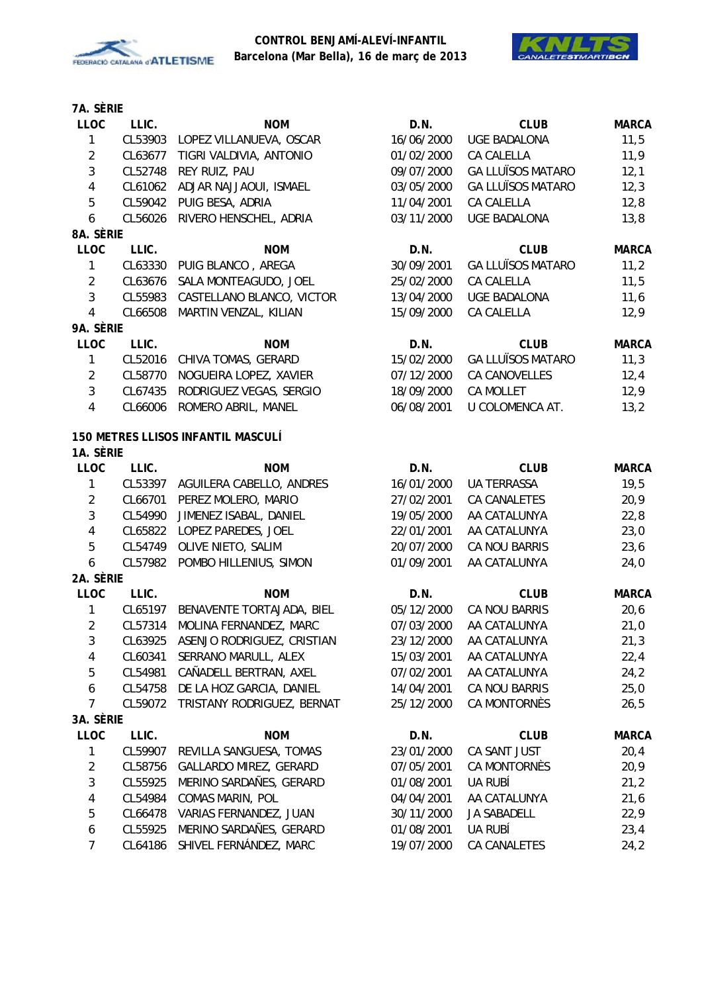



| <b>LLOC</b>                 | LLIC.   | <b>NOM</b>                                     | D.N.               | <b>CLUB</b>                | <b>MARCA</b>         |
|-----------------------------|---------|------------------------------------------------|--------------------|----------------------------|----------------------|
| $\mathbf{1}$                | CL53903 | LOPEZ VILLANUEVA, OSCAR                        | 16/06/2000         | <b>UGE BADALONA</b>        | 11,5                 |
| $\overline{2}$              | CL63677 | TIGRI VALDIVIA, ANTONIO                        | 01/02/2000         | CA CALELLA                 | 11,9                 |
| $\sqrt{3}$                  | CL52748 | REY RUIZ, PAU                                  | 09/07/2000         | <b>GA LLUÏSOS MATARO</b>   | 12,1                 |
| $\pmb{4}$                   |         | CL61062 ADJAR NAJJAOUI, ISMAEL                 | 03/05/2000         | <b>GA LLUÏSOS MATARO</b>   | 12,3                 |
| $\overline{5}$              |         | CL59042 PUIG BESA, ADRIA                       | 11/04/2001         | CA CALELLA                 | 12,8                 |
| 6                           | CL56026 | RIVERO HENSCHEL, ADRIA                         | 03/11/2000         | <b>UGE BADALONA</b>        | 13,8                 |
| 8A. SÈRIE                   |         |                                                |                    |                            |                      |
| <b>LLOC</b>                 | LLIC.   | <b>NOM</b>                                     | D.N.               | <b>CLUB</b>                | <b>MARCA</b>         |
| $\mathbf{1}$                | CL63330 | PUIG BLANCO, AREGA                             | 30/09/2001         | <b>GA LLUÏSOS MATARO</b>   | 11,2                 |
| $\overline{2}$              | CL63676 | SALA MONTEAGUDO, JOEL                          | 25/02/2000         | CA CALELLA                 | 11,5                 |
| $\mathbf{3}$                | CL55983 | CASTELLANO BLANCO, VICTOR                      | 13/04/2000         | <b>UGE BADALONA</b>        | 11,6                 |
| $\pmb{4}$                   | CL66508 | MARTIN VENZAL, KILIAN                          | 15/09/2000         | CA CALELLA                 | 12,9                 |
| 9A. Sèrie                   |         |                                                |                    |                            |                      |
| <b>LLOC</b>                 | LLIC.   | <b>NOM</b>                                     | D.N.               | <b>CLUB</b>                | <b>MARCA</b>         |
| $\mathbf{1}$                | CL52016 | CHIVA TOMAS, GERARD                            | 15/02/2000         | <b>GA LLUÏSOS MATARO</b>   | 11,3                 |
| $\overline{2}$              | CL58770 | NOGUEIRA LOPEZ, XAVIER                         | 07/12/2000         | CA CANOVELLES              | 12,4                 |
| $\mathfrak{Z}$              | CL67435 | RODRIGUEZ VEGAS, SERGIO                        | 18/09/2000         | <b>CA MOLLET</b>           | 12,9                 |
| $\pmb{4}$                   | CL66006 | ROMERO ABRIL, MANEL                            | 06/08/2001         | U COLOMENCA AT.            | 13,2                 |
|                             |         | <b>150 METRES LLISOS INFANTIL MASCULÍ</b>      |                    |                            |                      |
| 1A. SÈRIE                   |         |                                                |                    |                            |                      |
| <b>LLOC</b><br>$\mathbf{1}$ | LLIC.   | <b>NOM</b><br>CL53397 AGUILERA CABELLO, ANDRES | D.N.<br>16/01/2000 | <b>CLUB</b><br>UA TERRASSA | <b>MARCA</b><br>19,5 |
| $\overline{2}$              | CL66701 | PEREZ MOLERO, MARIO                            | 27/02/2001         | CA CANALETES               | 20,9                 |
| $\sqrt{3}$                  | CL54990 | JIMENEZ ISABAL, DANIEL                         | 19/05/2000         | AA CATALUNYA               | 22,8                 |
| $\overline{\mathbf{4}}$     | CL65822 | LOPEZ PAREDES, JOEL                            | 22/01/2001         | AA CATALUNYA               | 23,0                 |
| $\overline{5}$              | CL54749 | OLIVE NIETO, SALIM                             | 20/07/2000         | CA NOU BARRIS              | 23,6                 |
| 6                           |         | CL57982 POMBO HILLENIUS, SIMON                 | 01/09/2001         | AA CATALUNYA               | 24,0                 |
| 2A. Sèrie                   |         |                                                |                    |                            |                      |
| <b>LLOC</b>                 | LLIC.   | <b>NOM</b>                                     | D.N.               | <b>CLUB</b>                | <b>MARCA</b>         |
| 1                           | CL65197 | BENAVENTE TORTAJADA, BIEL                      | 05/12/2000         | CA NOU BARRIS              | 20, 6                |
| $\sqrt{2}$                  | CL57314 | MOLINA FERNANDEZ, MARC                         | 07/03/2000         | AA CATALUNYA               | 21,0                 |
| $\mathbf{3}$                | CL63925 | ASENJO RODRIGUEZ, CRISTIAN                     | 23/12/2000         | AA CATALUNYA               | 21,3                 |
| 4                           | CL60341 | SERRANO MARULL, ALEX                           | 15/03/2001         | AA CATALUNYA               | 22,4                 |
| 5                           | CL54981 | CAÑADELL BERTRAN, AXEL                         | 07/02/2001         | AA CATALUNYA               | 24,2                 |
| 6                           | CL54758 | DE LA HOZ GARCIA, DANIEL                       | 14/04/2001         | CA NOU BARRIS              | 25,0                 |
| $\overline{7}$              | CL59072 | TRISTANY RODRIGUEZ, BERNAT                     | 25/12/2000         | <b>CA MONTORNÈS</b>        | 26,5                 |
| 3A. SÈRIE                   |         |                                                |                    |                            |                      |
| <b>LLOC</b>                 | LLIC.   | <b>NOM</b>                                     | D.N.               | <b>CLUB</b>                | <b>MARCA</b>         |
| 1                           | CL59907 | REVILLA SANGUESA, TOMAS                        | 23/01/2000         | CA SANT JUST               | 20,4                 |
| $\sqrt{2}$                  | CL58756 | GALLARDO MIREZ, GERARD                         | 07/05/2001         | CA MONTORNÈS               | 20,9                 |
| $\sqrt{3}$                  | CL55925 | MERINO SARDAÑES, GERARD                        | 01/08/2001         | UA RUBÍ                    | 21,2                 |
| $\pmb{4}$                   | CL54984 | COMAS MARIN, POL                               | 04/04/2001         | AA CATALUNYA               | 21,6                 |
| $\mathbf 5$                 | CL66478 | VARIAS FERNANDEZ, JUAN                         | 30/11/2000         | JA SABADELL                | 22,9                 |
| 6                           | CL55925 | MERINO SARDAÑES, GERARD                        | 01/08/2001         | UA RUBÍ                    | 23,4                 |
| 7                           | CL64186 | SHIVEL FERNÁNDEZ, MARC                         | 19/07/2000         | CA CANALETES               | 24,2                 |
|                             |         |                                                |                    |                            |                      |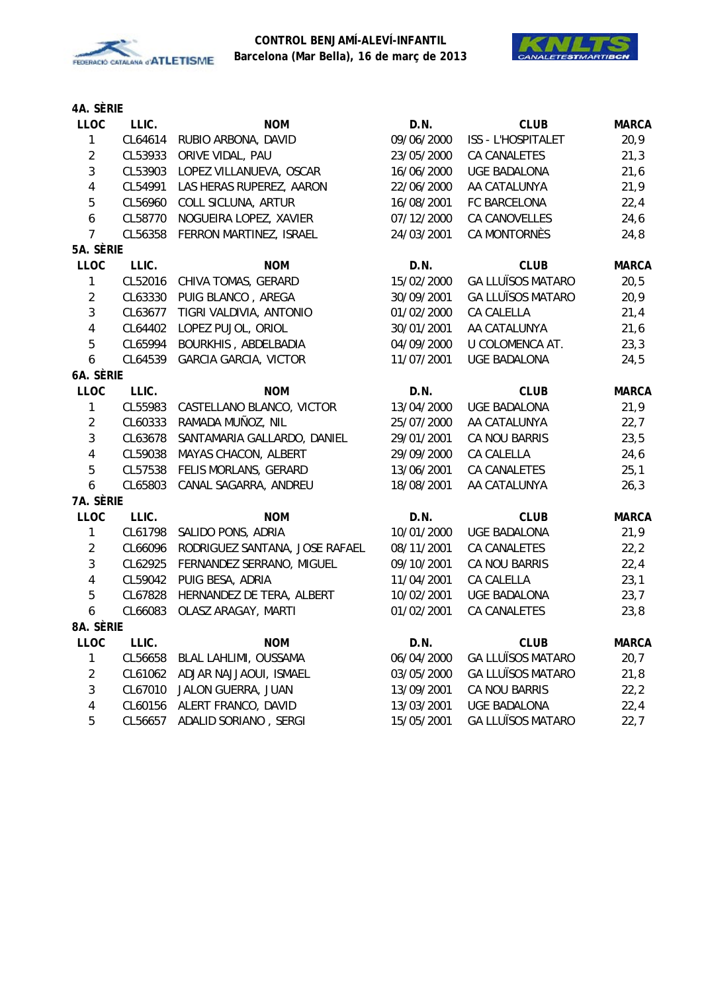



| <b>LLOC</b>             | LLIC.   | <b>NOM</b>                     | D.N.       | <b>CLUB</b>              | <b>MARCA</b> |
|-------------------------|---------|--------------------------------|------------|--------------------------|--------------|
| $\mathbf{1}$            | CL64614 | RUBIO ARBONA, DAVID            | 09/06/2000 | ISS - L'HOSPITALET       | 20,9         |
| $\overline{2}$          | CL53933 | ORIVE VIDAL, PAU               | 23/05/2000 | CA CANALETES             | 21,3         |
| $\overline{3}$          | CL53903 | LOPEZ VILLANUEVA, OSCAR        | 16/06/2000 | <b>UGE BADALONA</b>      | 21,6         |
| $\overline{\mathbf{4}}$ | CL54991 | LAS HERAS RUPEREZ, AARON       | 22/06/2000 | AA CATALUNYA             | 21,9         |
| 5                       | CL56960 | COLL SICLUNA, ARTUR            | 16/08/2001 | FC BARCELONA             | 22,4         |
| $\boldsymbol{6}$        | CL58770 | NOGUEIRA LOPEZ, XAVIER         | 07/12/2000 | CA CANOVELLES            | 24,6         |
| $\overline{7}$          | CL56358 | FERRON MARTINEZ, ISRAEL        | 24/03/2001 | CA MONTORNÈS             | 24,8         |
| 5A. SÈRIE               |         |                                |            |                          |              |
| LLOC                    | LLIC.   | <b>NOM</b>                     | D.N.       | <b>CLUB</b>              | <b>MARCA</b> |
| $\mathbf{1}$            | CL52016 | CHIVA TOMAS, GERARD            | 15/02/2000 | <b>GA LLUÏSOS MATARO</b> | 20,5         |
| $\sqrt{2}$              | CL63330 | PUIG BLANCO, AREGA             | 30/09/2001 | <b>GA LLUÏSOS MATARO</b> | 20,9         |
| $\mathbf{3}$            | CL63677 | TIGRI VALDIVIA, ANTONIO        | 01/02/2000 | CA CALELLA               | 21,4         |
| $\pmb{4}$               | CL64402 | LOPEZ PUJOL, ORIOL             | 30/01/2001 | AA CATALUNYA             | 21,6         |
| 5                       | CL65994 | BOURKHIS, ABDELBADIA           | 04/09/2000 | U COLOMENCA AT.          | 23,3         |
| $\boldsymbol{6}$        | CL64539 | <b>GARCIA GARCIA, VICTOR</b>   | 11/07/2001 | <b>UGE BADALONA</b>      | 24,5         |
| 6A. SÈRIE               |         |                                |            |                          |              |
| LLOC                    | LLIC.   | <b>NOM</b>                     | D.N.       | <b>CLUB</b>              | <b>MARCA</b> |
| 1                       | CL55983 | CASTELLANO BLANCO, VICTOR      | 13/04/2000 | <b>UGE BADALONA</b>      | 21,9         |
| $\overline{2}$          | CL60333 | RAMADA MUÑOZ, NIL              | 25/07/2000 | AA CATALUNYA             | 22,7         |
| $\mathbf{3}$            | CL63678 | SANTAMARIA GALLARDO, DANIEL    | 29/01/2001 | CA NOU BARRIS            | 23,5         |
| $\overline{4}$          | CL59038 | MAYAS CHACON, ALBERT           | 29/09/2000 | CA CALELLA               | 24,6         |
| 5                       | CL57538 | FELIS MORLANS, GERARD          | 13/06/2001 | CA CANALETES             | 25,1         |
| $\boldsymbol{6}$        | CL65803 | CANAL SAGARRA, ANDREU          | 18/08/2001 | AA CATALUNYA             | 26,3         |
| 7A. SÈRIE               |         |                                |            |                          |              |
| LLOC                    | LLIC.   | <b>NOM</b>                     | D.N.       | <b>CLUB</b>              | <b>MARCA</b> |
| $\mathbf{1}$            | CL61798 | SALIDO PONS, ADRIA             | 10/01/2000 | <b>UGE BADALONA</b>      | 21,9         |
| $\overline{2}$          | CL66096 | RODRIGUEZ SANTANA, JOSE RAFAEL | 08/11/2001 | CA CANALETES             | 22, 2        |
| $\mathfrak{Z}$          | CL62925 | FERNANDEZ SERRANO, MIGUEL      | 09/10/2001 | CA NOU BARRIS            | 22,4         |
| $\pmb{4}$               | CL59042 | PUIG BESA, ADRIA               | 11/04/2001 | CA CALELLA               | 23,1         |
| 5                       | CL67828 | HERNANDEZ DE TERA, ALBERT      | 10/02/2001 | <b>UGE BADALONA</b>      | 23,7         |
| 6                       | CL66083 | OLASZ ARAGAY, MARTI            | 01/02/2001 | CA CANALETES             | 23,8         |
| 8A. SÈRIE               |         |                                |            |                          |              |
| LLOC                    | LLIC.   | <b>NOM</b>                     | D.N.       | <b>CLUB</b>              | <b>MARCA</b> |
| $\mathbf{1}$            | CL56658 | BLAL LAHLIMI, OUSSAMA          | 06/04/2000 | <b>GA LLUÏSOS MATARO</b> | 20,7         |
| $\overline{2}$          | CL61062 | ADJAR NAJJAOUI, ISMAEL         | 03/05/2000 | <b>GA LLUÏSOS MATARO</b> | 21,8         |
| $\mathbf{3}$            | CL67010 | JALON GUERRA, JUAN             | 13/09/2001 | CA NOU BARRIS            | 22, 2        |
| $\overline{\mathbf{r}}$ | CL60156 | ALERT FRANCO, DAVID            | 13/03/2001 | <b>UGE BADALONA</b>      | 22,4         |
| 5                       | CL56657 | ADALID SORIANO, SERGI          | 15/05/2001 | <b>GA LLUÏSOS MATARO</b> | 22,7         |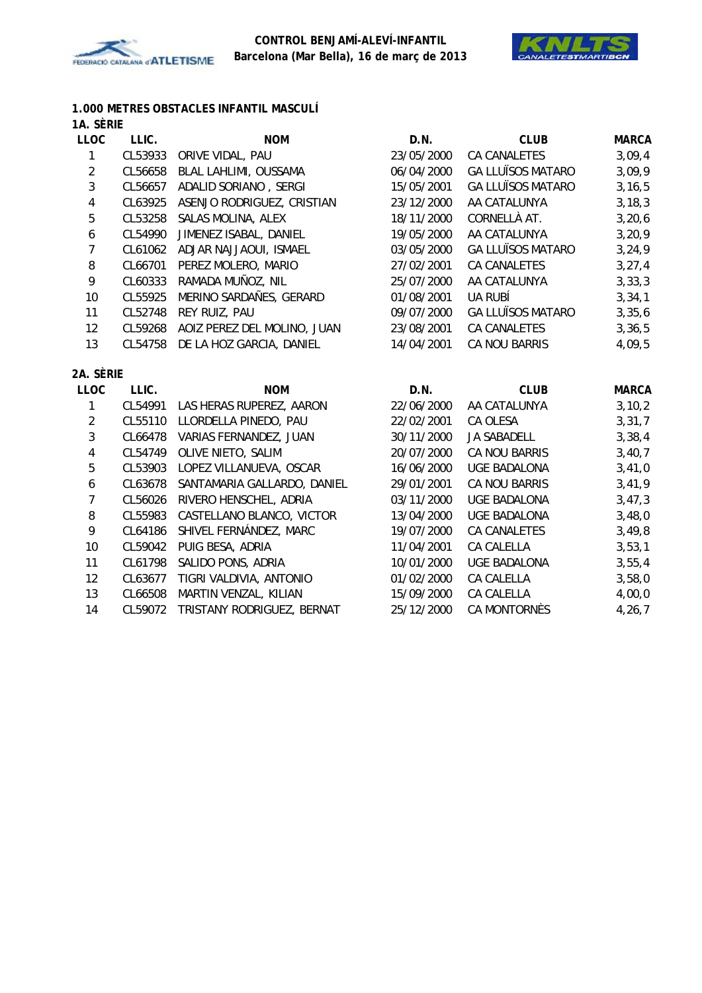



#### **1.000 METRES OBSTACLES INFANTIL MASCULÍ 1A. SÈRIE**

| <b>LLOC</b>      | LLIC.   | <b>NOM</b>                  | D.N.       | <b>CLUB</b>              | <b>MARCA</b> |
|------------------|---------|-----------------------------|------------|--------------------------|--------------|
| 1                | CL53933 | ORIVE VIDAL, PAU            | 23/05/2000 | <b>CA CANALETES</b>      | 3,09,4       |
| $\overline{2}$   | CL56658 | BLAL LAHLIMI, OUSSAMA       | 06/04/2000 | <b>GA LLUÏSOS MATARO</b> | 3,09,9       |
| $\mathbf{3}$     | CL56657 | ADALID SORIANO, SERGI       | 15/05/2001 | <b>GA LLUÏSOS MATARO</b> | 3, 16, 5     |
| 4                | CL63925 | ASENJO RODRIGUEZ, CRISTIAN  | 23/12/2000 | AA CATALUNYA             | 3, 18, 3     |
| 5                | CL53258 | SALAS MOLINA, ALEX          | 18/11/2000 | CORNELLÀ AT.             | 3,20,6       |
| $\boldsymbol{6}$ | CL54990 | JIMENEZ ISABAL, DANIEL      | 19/05/2000 | AA CATALUNYA             | 3, 20, 9     |
| $\overline{7}$   | CL61062 | ADJAR NAJJAOUI, ISMAEL      | 03/05/2000 | <b>GA LLUÏSOS MATARO</b> | 3, 24, 9     |
| 8                | CL66701 | PEREZ MOLERO, MARIO         | 27/02/2001 | <b>CA CANALETES</b>      | 3, 27, 4     |
| 9                | CL60333 | RAMADA MUÑOZ, NIL           | 25/07/2000 | AA CATALUNYA             | 3, 33, 3     |
| 10               | CL55925 | MERINO SARDAÑES, GERARD     | 01/08/2001 | UA RUBÍ                  | 3, 34, 1     |
| 11               | CL52748 | REY RUIZ, PAU               | 09/07/2000 | <b>GA LLUÏSOS MATARO</b> | 3,35,6       |
| 12               | CL59268 | AOIZ PEREZ DEL MOLINO, JUAN | 23/08/2001 | <b>CA CANALETES</b>      | 3, 36, 5     |
| 13               | CL54758 | DE LA HOZ GARCIA, DANIEL    | 14/04/2001 | CA NOU BARRIS            | 4,09,5       |
| 2A. SÈRIE        |         |                             |            |                          |              |
| <b>LLOC</b>      | LLIC.   | <b>NOM</b>                  | D.N.       | <b>CLUB</b>              | <b>MARCA</b> |
| $\mathbf{1}$     | CL54991 | LAS HERAS RUPEREZ, AARON    | 22/06/2000 | AA CATALUNYA             | 3, 10, 2     |
| $\overline{2}$   | CL55110 | LLORDELLA PINEDO, PAU       | 22/02/2001 | CA OLESA                 | 3, 31, 7     |
| $\mathbf{3}$     | CL66478 | VARIAS FERNANDEZ, JUAN      | 30/11/2000 | <b>JA SABADELL</b>       | 3,38,4       |
| 4                | CL54749 | OLIVE NIETO, SALIM          | 20/07/2000 | CA NOU BARRIS            | 3,40,7       |
| 5                | CL53903 | LOPEZ VILLANUEVA, OSCAR     | 16/06/2000 | <b>UGE BADALONA</b>      | 3,41,0       |
| 6                | CL63678 | SANTAMARIA GALLARDO, DANIEL | 29/01/2001 | CA NOU BARRIS            | 3,41,9       |
| $\overline{7}$   | CL56026 | RIVERO HENSCHEL, ADRIA      | 03/11/2000 | <b>UGE BADALONA</b>      | 3,47,3       |
| 8                | CL55983 | CASTELLANO BLANCO, VICTOR   | 13/04/2000 | <b>UGE BADALONA</b>      | 3,48,0       |
| 9                | CL64186 | SHIVEL FERNÁNDEZ, MARC      | 19/07/2000 | CA CANALETES             | 3,49,8       |
| 10               | CL59042 | PUIG BESA, ADRIA            | 11/04/2001 | CA CALELLA               | 3, 53, 1     |
| 11               | CL61798 | SALIDO PONS, ADRIA          | 10/01/2000 | <b>UGE BADALONA</b>      | 3,55,4       |
| 12               | CL63677 | TIGRI VALDIVIA, ANTONIO     | 01/02/2000 | CA CALELLA               | 3,58,0       |
| 13               | CL66508 | MARTIN VENZAL, KILIAN       | 15/09/2000 | CA CALELLA               | 4,00,0       |
| 14               | CL59072 | TRISTANY RODRIGUEZ, BERNAT  | 25/12/2000 | CA MONTORNÈS             | 4, 26, 7     |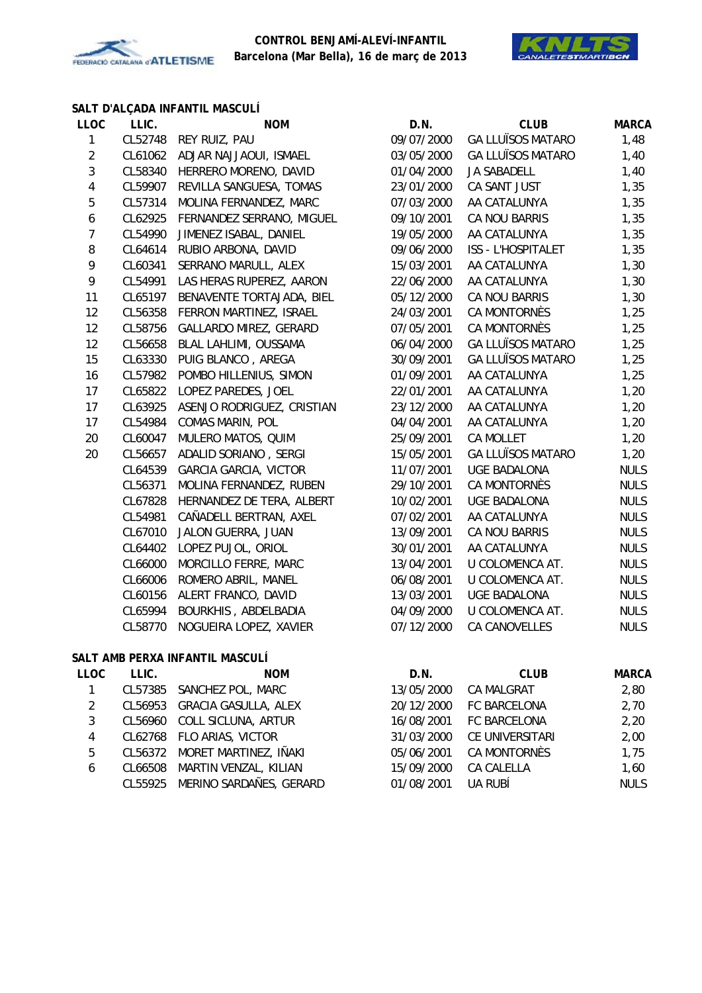



# **SALT D'ALÇADA INFANTIL MASCULÍ**

| <b>LLOC</b>      | LLIC.   | <b>NOM</b>                      | D.N.       | <b>CLUB</b>              | <b>MARCA</b>   |
|------------------|---------|---------------------------------|------------|--------------------------|----------------|
| $\mathbf{1}$     | CL52748 | REY RUIZ, PAU                   | 09/07/2000 | <b>GA LLUÏSOS MATARO</b> | 1,48           |
| $\boldsymbol{2}$ | CL61062 | ADJAR NAJJAOUI, ISMAEL          | 03/05/2000 | <b>GA LLUÏSOS MATARO</b> | 1,40           |
| $\mathbf{3}$     | CL58340 | HERRERO MORENO, DAVID           | 01/04/2000 | JA SABADELL              | 1,40           |
| $\pmb{4}$        | CL59907 | REVILLA SANGUESA, TOMAS         | 23/01/2000 | CA SANT JUST             | 1,35           |
| $\overline{5}$   | CL57314 | MOLINA FERNANDEZ, MARC          | 07/03/2000 | AA CATALUNYA             | 1,35           |
| $\boldsymbol{6}$ | CL62925 | FERNANDEZ SERRANO, MIGUEL       | 09/10/2001 | CA NOU BARRIS            | 1,35           |
| $\boldsymbol{7}$ | CL54990 | JIMENEZ ISABAL, DANIEL          | 19/05/2000 | AA CATALUNYA             | 1,35           |
| 8                | CL64614 | RUBIO ARBONA, DAVID             | 09/06/2000 | ISS - L'HOSPITALET       | 1,35           |
| 9                | CL60341 | SERRANO MARULL, ALEX            | 15/03/2001 | AA CATALUNYA             | 1,30           |
| 9                | CL54991 | LAS HERAS RUPEREZ, AARON        | 22/06/2000 | AA CATALUNYA             | 1,30           |
| 11               | CL65197 | BENAVENTE TORTAJADA, BIEL       | 05/12/2000 | CA NOU BARRIS            | 1,30           |
| 12               | CL56358 | FERRON MARTINEZ, ISRAEL         | 24/03/2001 | CA MONTORNÈS             | 1,25           |
| 12               | CL58756 | GALLARDO MIREZ, GERARD          | 07/05/2001 | CA MONTORNÈS             | 1,25           |
| 12               | CL56658 | BLAL LAHLIMI, OUSSAMA           | 06/04/2000 | <b>GA LLUÏSOS MATARO</b> | 1,25           |
| 15               | CL63330 | PUIG BLANCO, AREGA              | 30/09/2001 | <b>GA LLUÏSOS MATARO</b> | 1,25           |
| 16               | CL57982 | POMBO HILLENIUS, SIMON          | 01/09/2001 | AA CATALUNYA             | 1,25           |
| 17               | CL65822 | LOPEZ PAREDES, JOEL             | 22/01/2001 | AA CATALUNYA             | 1,20           |
| 17               | CL63925 | ASENJO RODRIGUEZ, CRISTIAN      | 23/12/2000 | AA CATALUNYA             | 1,20           |
| 17               | CL54984 | COMAS MARIN, POL                | 04/04/2001 | AA CATALUNYA             | 1,20           |
| 20               | CL60047 | MULERO MATOS, QUIM              | 25/09/2001 | <b>CA MOLLET</b>         | 1,20           |
| 20               | CL56657 | ADALID SORIANO, SERGI           | 15/05/2001 | <b>GA LLUÏSOS MATARO</b> | 1,20           |
|                  | CL64539 | <b>GARCIA GARCIA, VICTOR</b>    | 11/07/2001 | <b>UGE BADALONA</b>      | <b>NULS</b>    |
|                  | CL56371 | MOLINA FERNANDEZ, RUBEN         | 29/10/2001 | CA MONTORNÈS             | <b>NULS</b>    |
|                  | CL67828 | HERNANDEZ DE TERA, ALBERT       | 10/02/2001 | <b>UGE BADALONA</b>      | <b>NULS</b>    |
|                  | CL54981 | CAÑADELL BERTRAN, AXEL          | 07/02/2001 | AA CATALUNYA             | <b>NULS</b>    |
|                  | CL67010 | JALON GUERRA, JUAN              | 13/09/2001 | CA NOU BARRIS            | <b>NULS</b>    |
|                  | CL64402 | LOPEZ PUJOL, ORIOL              | 30/01/2001 | AA CATALUNYA             | <b>NULS</b>    |
|                  | CL66000 | MORCILLO FERRE, MARC            | 13/04/2001 | U COLOMENCA AT.          | <b>NULS</b>    |
|                  | CL66006 | ROMERO ABRIL, MANEL             | 06/08/2001 | U COLOMENCA AT.          | <b>NULS</b>    |
|                  | CL60156 | ALERT FRANCO, DAVID             | 13/03/2001 | <b>UGE BADALONA</b>      | <b>NULS</b>    |
|                  | CL65994 | BOURKHIS, ABDELBADIA            | 04/09/2000 | U COLOMENCA AT.          | <b>NULS</b>    |
|                  | CL58770 | NOGUEIRA LOPEZ, XAVIER          | 07/12/2000 | <b>CA CANOVELLES</b>     | <b>NULS</b>    |
|                  |         | SALT AMB PERXA INFANTIL MASCULÍ |            |                          |                |
| <b>LLOC</b>      | LLIC.   | <b>NOM</b>                      | D.N.       | <b>CLUB</b>              | <b>MARCA</b>   |
| $\mathbf{1}$     | CL57385 | SANCHEZ POL, MARC               | 13/05/2000 | CA MALGRAT               | 2,80           |
| C.               |         | CLEADER CDACIA CASHILA ALEV     | 20/12/2000 | EC RADCELONA             | <u>າ 70 - </u> |

|   | CL56953 GRACIA GASULLA, ALEX    |            | 20/12/2000 FC BARCELONA | 2,70        |
|---|---------------------------------|------------|-------------------------|-------------|
| 3 | CL56960 COLL SICLUNA, ARTUR     |            | 16/08/2001 FC BARCELONA | 2,20        |
| 4 | CL62768 FLO ARIAS, VICTOR       | 31/03/2000 | CE UNIVERSITARI         | 2,00        |
| 5 | CL56372 MORET MARTINEZ, IÑAKI   |            | 05/06/2001 CA MONTORNÈS | 1.75        |
| 6 | CL66508 MARTIN VENZAL, KILIAN   | 15/09/2000 | CA CALELLA              | 1,60        |
|   | CL55925 MERINO SARDAÑES, GERARD | 01/08/2001 | UA RUBÍ                 | <b>NULS</b> |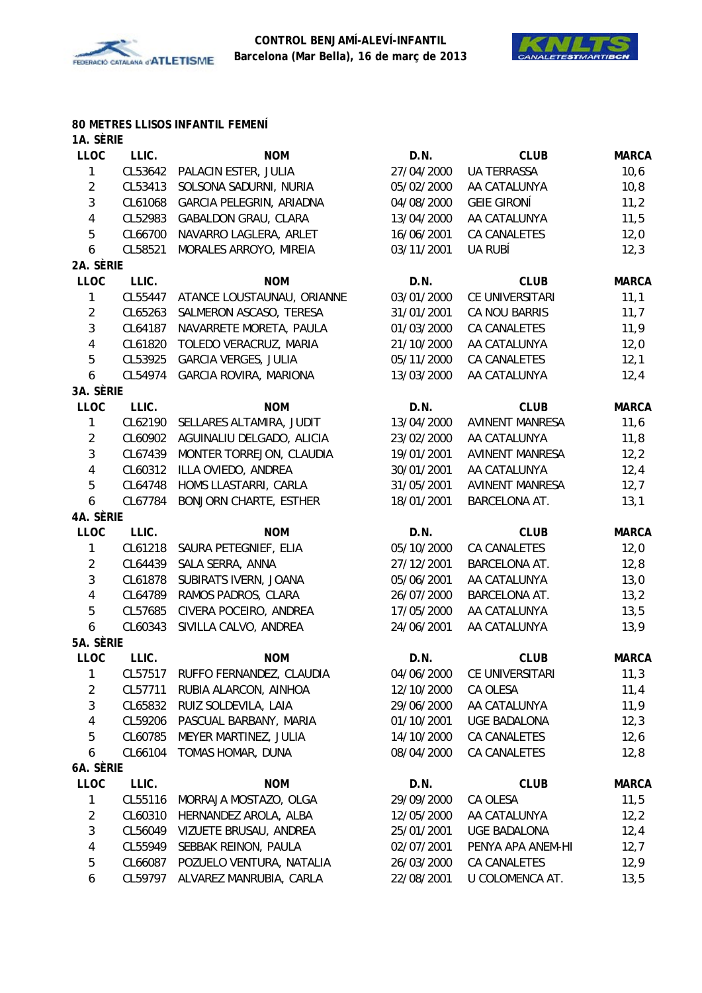



#### **80 METRES LLISOS INFANTIL FEMENÍ**

| 1A. SÈRIE               |                  |                                  |            |                        |              |
|-------------------------|------------------|----------------------------------|------------|------------------------|--------------|
| <b>LLOC</b>             | LLIC.            | <b>NOM</b>                       | D.N.       | <b>CLUB</b>            | <b>MARCA</b> |
| 1                       | CL53642          | PALACIN ESTER, JULIA             | 27/04/2000 | <b>UA TERRASSA</b>     | 10, 6        |
| $\sqrt{2}$              | CL53413          | SOLSONA SADURNI, NURIA           | 05/02/2000 | AA CATALUNYA           | 10, 8        |
| 3                       | CL61068          | GARCIA PELEGRIN, ARIADNA         | 04/08/2000 | <b>GEIE GIRONÍ</b>     | 11,2         |
| $\overline{\mathbf{4}}$ | CL52983          | GABALDON GRAU, CLARA             | 13/04/2000 | AA CATALUNYA           | 11,5         |
| 5                       | CL66700          | NAVARRO LAGLERA, ARLET           | 16/06/2001 | CA CANALETES           | 12,0         |
| 6                       | CL58521          | MORALES ARROYO, MIREIA           | 03/11/2001 | UA RUBÍ                | 12,3         |
| 2A. SÈRIE               |                  |                                  |            |                        |              |
| LLOC                    | LLIC.            | <b>NOM</b>                       | D.N.       | <b>CLUB</b>            | <b>MARCA</b> |
| 1                       | CL55447          | ATANCE LOUSTAUNAU, ORIANNE       | 03/01/2000 | CE UNIVERSITARI        | 11,1         |
| $\overline{2}$          | CL65263          | SALMERON ASCASO, TERESA          | 31/01/2001 | CA NOU BARRIS          | 11,7         |
| 3                       | CL64187          | NAVARRETE MORETA, PAULA          | 01/03/2000 | CA CANALETES           | 11,9         |
| $\overline{4}$          | CL61820          | TOLEDO VERACRUZ, MARIA           | 21/10/2000 | AA CATALUNYA           | 12,0         |
| 5                       | CL53925          | <b>GARCIA VERGES, JULIA</b>      | 05/11/2000 | CA CANALETES           | 12,1         |
| 6                       | CL54974          | GARCIA ROVIRA, MARIONA           | 13/03/2000 | AA CATALUNYA           | 12,4         |
| 3A. SÈRIE               |                  |                                  |            |                        |              |
| <b>LLOC</b>             | LLIC.            | <b>NOM</b>                       | D.N.       | <b>CLUB</b>            | <b>MARCA</b> |
| 1                       | CL62190          | SELLARES ALTAMIRA, JUDIT         | 13/04/2000 | <b>AVINENT MANRESA</b> | 11,6         |
| $\overline{2}$          | CL60902          | AGUINALIU DELGADO, ALICIA        | 23/02/2000 | AA CATALUNYA           | 11,8         |
| 3                       | CL67439          | MONTER TORREJON, CLAUDIA         | 19/01/2001 | <b>AVINENT MANRESA</b> | 12,2         |
| $\overline{\mathbf{4}}$ | CL60312          | ILLA OVIEDO, ANDREA              | 30/01/2001 | AA CATALUNYA           | 12,4         |
| 5                       | CL64748          | HOMS LLASTARRI, CARLA            | 31/05/2001 | <b>AVINENT MANRESA</b> | 12,7         |
| 6                       | CL67784          | <b>BONJORN CHARTE, ESTHER</b>    | 18/01/2001 | BARCELONA AT.          | 13,1         |
| 4A. SÈRIE               |                  |                                  |            |                        |              |
| <b>LLOC</b>             | LLIC.            | <b>NOM</b>                       | D.N.       | <b>CLUB</b>            | <b>MARCA</b> |
| 1                       | CL61218          | SAURA PETEGNIEF, ELIA            | 05/10/2000 | CA CANALETES           | 12,0         |
| $\overline{2}$          | CL64439          | SALA SERRA, ANNA                 | 27/12/2001 | BARCELONA AT.          | 12,8         |
| 3                       | CL61878          | SUBIRATS IVERN, JOANA            | 05/06/2001 | AA CATALUNYA           | 13,0         |
| $\overline{\mathbf{4}}$ | CL64789          | RAMOS PADROS, CLARA              | 26/07/2000 | BARCELONA AT.          | 13,2         |
| 5                       | CL57685          | CIVERA POCEIRO, ANDREA           | 17/05/2000 | AA CATALUNYA           | 13,5         |
| 6                       | CL60343          | SIVILLA CALVO, ANDREA            | 24/06/2001 | AA CATALUNYA           | 13,9         |
| 5A. SÈRIE               |                  |                                  |            |                        |              |
| <b>LLOC</b>             | LLIC.            | <b>NOM</b>                       | D.N.       | <b>CLUB</b>            | <b>MARCA</b> |
| 1                       |                  | CL57517 RUFFO FERNANDEZ, CLAUDIA | 04/06/2000 | CE UNIVERSITARI        | 11,3         |
| $\overline{2}$          | CL57711          | RUBIA ALARCON, AINHOA            | 12/10/2000 | CA OLESA               | 11,4         |
| $\mathfrak{Z}$          | CL65832          | RUIZ SOLDEVILA, LAIA             | 29/06/2000 | AA CATALUNYA           | 11,9         |
| 4                       | CL59206          | PASCUAL BARBANY, MARIA           | 01/10/2001 | UGE BADALONA           | 12,3         |
| 5                       | CL60785          | MEYER MARTINEZ, JULIA            | 14/10/2000 | CA CANALETES           | 12,6         |
| 6                       | CL66104          | TOMAS HOMAR, DUNA                | 08/04/2000 | CA CANALETES           | 12,8         |
| 6A. SÈRIE               |                  |                                  |            |                        |              |
| LLOC                    |                  | <b>NOM</b>                       | D.N.       | <b>CLUB</b>            | <b>MARCA</b> |
| 1                       | LLIC.<br>CL55116 | MORRAJA MOSTAZO, OLGA            | 29/09/2000 | CA OLESA               | 11,5         |
|                         |                  |                                  |            |                        |              |
| $\overline{2}$          | CL60310          | HERNANDEZ AROLA, ALBA            | 12/05/2000 | AA CATALUNYA           | 12,2         |
| 3                       | CL56049          | VIZUETE BRUSAU, ANDREA           | 25/01/2001 | <b>UGE BADALONA</b>    | 12,4         |
| 4                       | CL55949          | SEBBAK REINON, PAULA             | 02/07/2001 | PENYA APA ANEM-HI      | 12,7         |
| 5                       | CL66087          | POZUELO VENTURA, NATALIA         | 26/03/2000 | CA CANALETES           | 12,9         |
| 6                       | CL59797          | ALVAREZ MANRUBIA, CARLA          | 22/08/2001 | U COLOMENCA AT.        | 13,5         |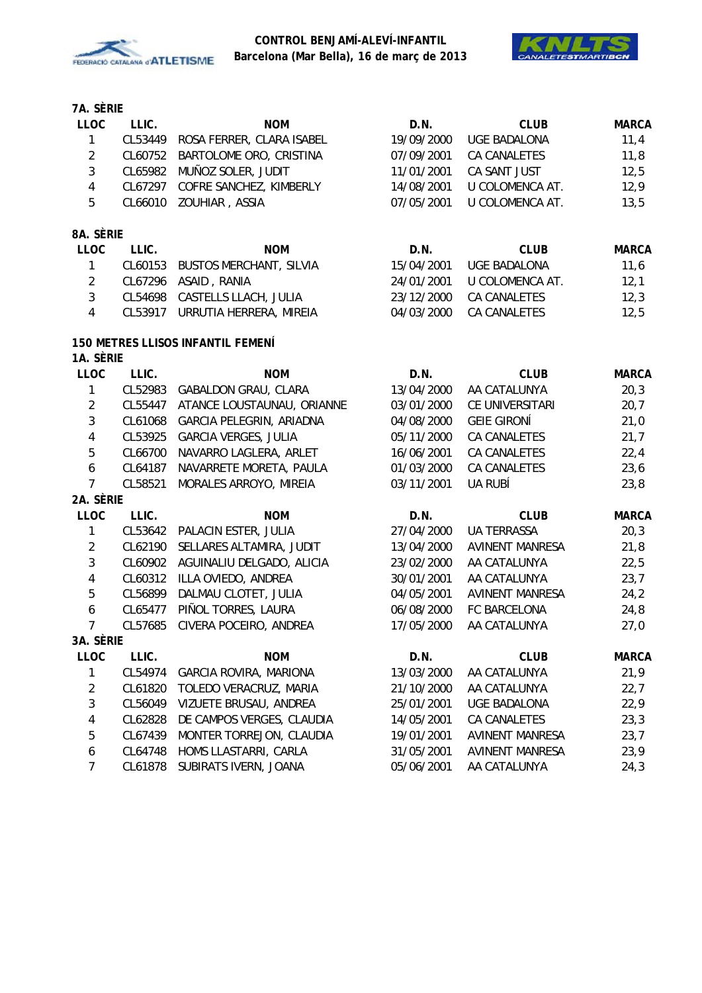



| <b>LLOC</b>             | LLIC.   | <b>NOM</b>                               | D.N.       | <b>CLUB</b>            | <b>MARCA</b> |
|-------------------------|---------|------------------------------------------|------------|------------------------|--------------|
| $\mathbf{1}$            | CL53449 | ROSA FERRER, CLARA ISABEL                | 19/09/2000 | UGE BADALONA           | 11,4         |
| $\overline{2}$          | CL60752 | BARTOLOME ORO, CRISTINA                  | 07/09/2001 | CA CANALETES           | 11,8         |
| 3                       | CL65982 | MUÑOZ SOLER, JUDIT                       | 11/01/2001 | CA SANT JUST           | 12,5         |
| $\overline{\mathbf{4}}$ | CL67297 | COFRE SANCHEZ, KIMBERLY                  | 14/08/2001 | U COLOMENCA AT.        | 12,9         |
| 5                       | CL66010 | ZOUHIAR, ASSIA                           | 07/05/2001 | U COLOMENCA AT.        | 13,5         |
| 8A. SÈRIE               |         |                                          |            |                        |              |
| <b>LLOC</b>             | LLIC.   | <b>NOM</b>                               | D.N.       | <b>CLUB</b>            | <b>MARCA</b> |
| $\mathbf{1}$            | CL60153 | <b>BUSTOS MERCHANT, SILVIA</b>           | 15/04/2001 | <b>UGE BADALONA</b>    | 11,6         |
| $\overline{2}$          |         | CL67296 ASAID, RANIA                     | 24/01/2001 | U COLOMENCA AT.        | 12,1         |
| 3                       |         | CL54698 CASTELLS LLACH, JULIA            | 23/12/2000 | CA CANALETES           | 12,3         |
| $\overline{4}$          | CL53917 | URRUTIA HERRERA, MIREIA                  | 04/03/2000 | CA CANALETES           | 12,5         |
|                         |         | <b>150 METRES LLISOS INFANTIL FEMENÍ</b> |            |                        |              |
| 1A. SÈRIE               |         |                                          |            |                        |              |
| <b>LLOC</b>             | LLIC.   | <b>NOM</b>                               | D.N.       | <b>CLUB</b>            | <b>MARCA</b> |
| $\mathbf{1}$            | CL52983 | <b>GABALDON GRAU, CLARA</b>              | 13/04/2000 | AA CATALUNYA           | 20,3         |
| $\overline{2}$          | CL55447 | ATANCE LOUSTAUNAU, ORIANNE               | 03/01/2000 | CE UNIVERSITARI        | 20,7         |
| 3                       | CL61068 | GARCIA PELEGRIN, ARIADNA                 | 04/08/2000 | <b>GEIE GIRONÍ</b>     | 21,0         |
| $\overline{\mathbf{4}}$ | CL53925 | <b>GARCIA VERGES, JULIA</b>              | 05/11/2000 | CA CANALETES           | 21,7         |
| 5                       | CL66700 | NAVARRO LAGLERA, ARLET                   | 16/06/2001 | CA CANALETES           | 22,4         |
| 6                       | CL64187 | NAVARRETE MORETA, PAULA                  | 01/03/2000 | <b>CA CANALETES</b>    | 23,6         |
| 7                       | CL58521 | MORALES ARROYO, MIREIA                   | 03/11/2001 | UA RUBÍ                | 23,8         |
| 2A. SÈRIE               |         |                                          |            |                        |              |
| LLOC                    | LLIC.   | <b>NOM</b>                               | D.N.       | <b>CLUB</b>            | <b>MARCA</b> |
| 1                       | CL53642 | PALACIN ESTER, JULIA                     | 27/04/2000 | <b>UA TERRASSA</b>     | 20,3         |
| $\overline{2}$          | CL62190 | SELLARES ALTAMIRA, JUDIT                 | 13/04/2000 | <b>AVINENT MANRESA</b> | 21,8         |
| 3                       | CL60902 | AGUINALIU DELGADO, ALICIA                | 23/02/2000 | AA CATALUNYA           | 22,5         |
| 4                       | CL60312 | ILLA OVIEDO, ANDREA                      | 30/01/2001 | AA CATALUNYA           | 23,7         |
| 5                       | CL56899 | DALMAU CLOTET, JULIA                     | 04/05/2001 | <b>AVINENT MANRESA</b> | 24,2         |
| 6                       | CL65477 | PIÑOL TORRES, LAURA                      | 06/08/2000 | FC BARCELONA           | 24,8         |
| $\overline{7}$          | CL57685 | CIVERA POCEIRO, ANDREA                   | 17/05/2000 | AA CATALUNYA           | 27,0         |
| 3A SÈRIF                |         |                                          |            |                        |              |
| <b>LLOC</b>             | LLIC.   | <b>NOM</b>                               | D.N.       | <b>CLUB</b>            | <b>MARCA</b> |
| 1                       | CL54974 | <b>GARCIA ROVIRA, MARIONA</b>            | 13/03/2000 | AA CATALUNYA           | 21,9         |
| 2                       | CL61820 | TOLEDO VERACRUZ, MARIA                   | 21/10/2000 | AA CATALUNYA           | 22,7         |
| 3                       | CL56049 | VIZUETE BRUSAU, ANDREA                   | 25/01/2001 | <b>UGE BADALONA</b>    | 22,9         |
| 4                       | CL62828 | DE CAMPOS VERGES, CLAUDIA                | 14/05/2001 | CA CANALETES           | 23,3         |
| 5                       | CL67439 | MONTER TORREJON, CLAUDIA                 | 19/01/2001 | <b>AVINENT MANRESA</b> | 23,7         |
| 6                       | CL64748 | HOMS LLASTARRI, CARLA                    | 31/05/2001 | <b>AVINENT MANRESA</b> | 23,9         |
| 7                       | CL61878 | SUBIRATS IVERN, JOANA                    | 05/06/2001 | AA CATALUNYA           | 24,3         |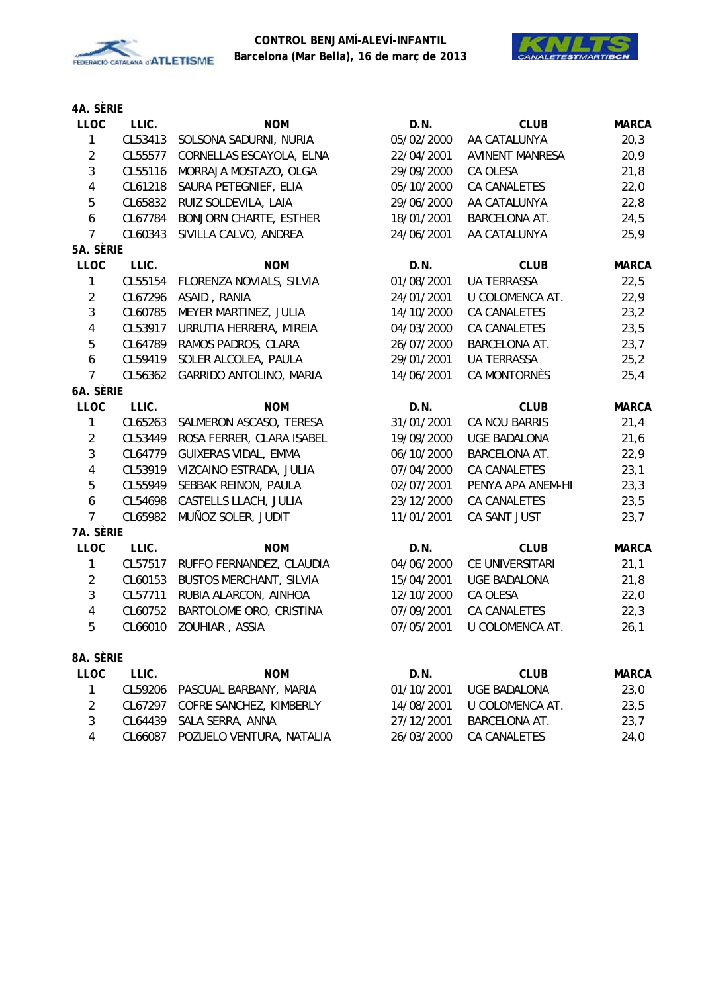



| <b>LLOC</b>    | LLIC.   | <b>NOM</b>                     | D.N.       | <b>CLUB</b>            | <b>MARCA</b> |
|----------------|---------|--------------------------------|------------|------------------------|--------------|
| 1              | CL53413 | SOLSONA SADURNI, NURIA         | 05/02/2000 | AA CATALUNYA           | 20,3         |
| $\overline{2}$ | CL55577 | CORNELLAS ESCAYOLA, ELNA       | 22/04/2001 | <b>AVINENT MANRESA</b> | 20,9         |
| $\mathfrak{Z}$ | CL55116 | MORRAJA MOSTAZO, OLGA          | 29/09/2000 | CA OLESA               | 21,8         |
| $\overline{4}$ | CL61218 | SAURA PETEGNIEF, ELIA          | 05/10/2000 | CA CANALETES           | 22,0         |
| 5              | CL65832 | RUIZ SOLDEVILA, LAIA           | 29/06/2000 | AA CATALUNYA           | 22,8         |
| 6              | CL67784 | <b>BONJORN CHARTE, ESTHER</b>  | 18/01/2001 | BARCELONA AT.          | 24,5         |
| $\overline{7}$ | CL60343 | SIVILLA CALVO, ANDREA          | 24/06/2001 | AA CATALUNYA           | 25,9         |
| 5A. SÈRIE      |         |                                |            |                        |              |
| <b>LLOC</b>    | LLIC.   | <b>NOM</b>                     | D.N.       | <b>CLUB</b>            | <b>MARCA</b> |
| 1              | CL55154 | FLORENZA NOVIALS, SILVIA       | 01/08/2001 | <b>UA TERRASSA</b>     | 22,5         |
| $\overline{2}$ | CL67296 | ASAID, RANIA                   | 24/01/2001 | U COLOMENCA AT.        | 22,9         |
| $\mathfrak{Z}$ | CL60785 | MEYER MARTINEZ, JULIA          | 14/10/2000 | CA CANALETES           | 23,2         |
| 4              | CL53917 | URRUTIA HERRERA, MIREIA        | 04/03/2000 | CA CANALETES           | 23,5         |
| 5              | CL64789 | RAMOS PADROS, CLARA            | 26/07/2000 | BARCELONA AT.          | 23,7         |
| 6              | CL59419 | SOLER ALCOLEA, PAULA           | 29/01/2001 | <b>UA TERRASSA</b>     | 25,2         |
| $\overline{7}$ | CL56362 | GARRIDO ANTOLINO, MARIA        | 14/06/2001 | CA MONTORNÈS           | 25,4         |
| 6A. SÈRIE      |         |                                |            |                        |              |
| <b>LLOC</b>    | LLIC.   | <b>NOM</b>                     | D.N.       | <b>CLUB</b>            | <b>MARCA</b> |
| 1              | CL65263 | SALMERON ASCASO, TERESA        | 31/01/2001 | CA NOU BARRIS          | 21,4         |
| $\overline{2}$ | CL53449 | ROSA FERRER, CLARA ISABEL      | 19/09/2000 | <b>UGE BADALONA</b>    | 21,6         |
| $\mathfrak{Z}$ | CL64779 | GUIXERAS VIDAL, EMMA           | 06/10/2000 | BARCELONA AT.          | 22,9         |
| 4              | CL53919 | VIZCAINO ESTRADA, JULIA        | 07/04/2000 | CA CANALETES           | 23,1         |
| 5              | CL55949 | SEBBAK REINON, PAULA           | 02/07/2001 | PENYA APA ANEM-HI      | 23,3         |
| 6              | CL54698 | CASTELLS LLACH, JULIA          | 23/12/2000 | CA CANALETES           | 23,5         |
| $\overline{7}$ | CL65982 | MUÑOZ SOLER, JUDIT             | 11/01/2001 | CA SANT JUST           | 23,7         |
| 7A. SÈRIE      |         |                                |            |                        |              |
| <b>LLOC</b>    | LLIC.   | <b>NOM</b>                     | D.N.       | <b>CLUB</b>            | <b>MARCA</b> |
| 1              | CL57517 | RUFFO FERNANDEZ, CLAUDIA       | 04/06/2000 | CE UNIVERSITARI        | 21,1         |
| $\overline{2}$ | CL60153 | <b>BUSTOS MERCHANT, SILVIA</b> | 15/04/2001 | <b>UGE BADALONA</b>    | 21,8         |
| $\sqrt{3}$     | CL57711 | RUBIA ALARCON, AINHOA          | 12/10/2000 | CA OLESA               | 22,0         |
| $\overline{4}$ | CL60752 | BARTOLOME ORO, CRISTINA        | 07/09/2001 | CA CANALETES           | 22,3         |
| 5              | CL66010 | ZOUHIAR, ASSIA                 | 07/05/2001 | U COLOMENCA AT.        | 26,1         |
| 8A. SÈRIE      |         |                                |            |                        |              |
| <b>LLOC</b>    | LLIC.   | <b>NOM</b>                     | D.N.       | <b>CLUB</b>            | <b>MARCA</b> |
| 1              | CL59206 | PASCUAL BARBANY, MARIA         | 01/10/2001 | <b>UGE BADALONA</b>    | 23,0         |
| $\overline{2}$ | CL67297 | COFRE SANCHEZ, KIMBERLY        | 14/08/2001 | U COLOMENCA AT.        | 23,5         |
| 3              | CL64439 | SALA SERRA, ANNA               | 27/12/2001 | <b>BARCELONA AT.</b>   | 23,7         |
| $\overline{4}$ | CL66087 | POZUELO VENTURA, NATALIA       | 26/03/2000 | CA CANALETES           | 24,0         |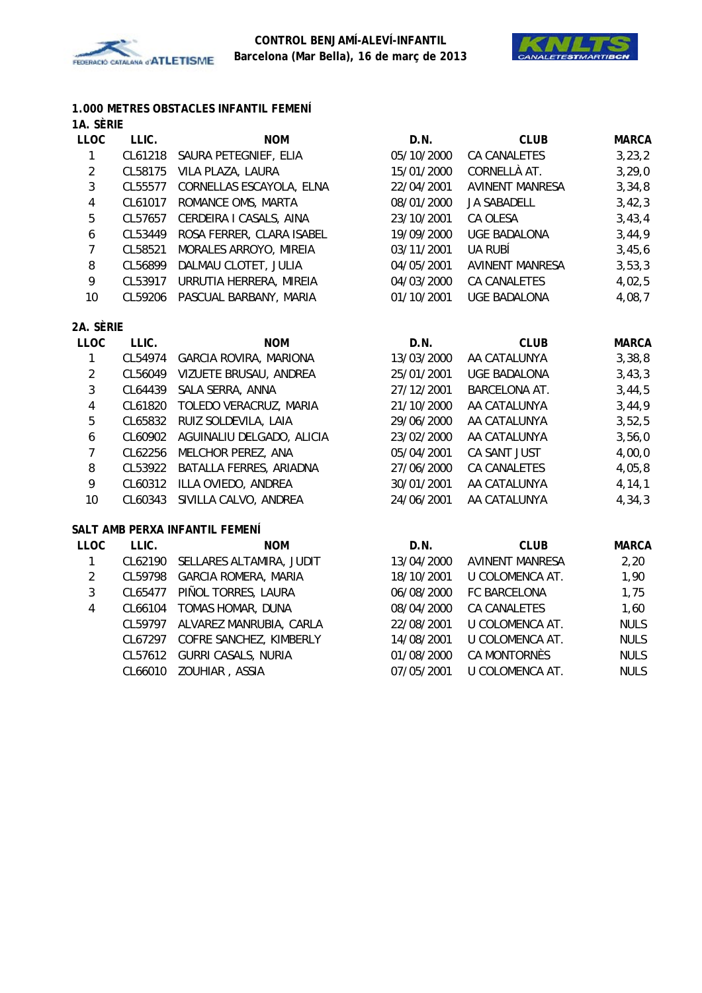



#### **1.000 METRES OBSTACLES INFANTIL FEMENÍ 1A. SÈRIE**

| שנושה.    |                           |                                                                                                            |                        |              |
|-----------|---------------------------|------------------------------------------------------------------------------------------------------------|------------------------|--------------|
| LLIC.     | <b>NOM</b>                | D.N.                                                                                                       | <b>CLUB</b>            | <b>MARCA</b> |
| CL61218   | SAURA PETEGNIEF, ELIA     | 05/10/2000                                                                                                 | CA CANALETES           | 3, 23, 2     |
| CL58175   | VILA PLAZA, LAURA         | 15/01/2000                                                                                                 | CORNELLÀ AT.           | 3, 29, 0     |
| CL55577   | CORNELLAS ESCAYOLA, ELNA  | 22/04/2001                                                                                                 | <b>AVINENT MANRESA</b> | 3,34,8       |
| CL61017   | ROMANCE OMS, MARTA        | 08/01/2000                                                                                                 | JA SABADELL            | 3,42,3       |
|           | CERDEIRA I CASALS, AINA   | 23/10/2001                                                                                                 | CA OLESA               | 3,43,4       |
| CL53449   | ROSA FERRER, CLARA ISABEL | 19/09/2000                                                                                                 | UGE BADALONA           | 3,44,9       |
| CL58521   | MORALES ARROYO, MIREIA    | 03/11/2001                                                                                                 | UA RUBÍ                | 3,45,6       |
|           | DALMAU CLOTET, JULIA      | 04/05/2001                                                                                                 | <b>AVINENT MANRESA</b> | 3,53,3       |
|           | URRUTIA HERRERA, MIREIA   | 04/03/2000                                                                                                 | <b>CA CANALETES</b>    | 4,02,5       |
|           | PASCUAL BARBANY, MARIA    | 01/10/2001                                                                                                 | <b>UGE BADALONA</b>    | 4,08,7       |
| 2A. SÈRIE |                           |                                                                                                            |                        |              |
| LLIC.     | <b>NOM</b>                | D.N.                                                                                                       | <b>CLUB</b>            | <b>MARCA</b> |
|           | GARCIA ROVIRA, MARIONA    | 13/03/2000                                                                                                 | AA CATALUNYA           | 3,38,8       |
|           | VIZUETE BRUSAU, ANDREA    | 25/01/2001                                                                                                 | <b>UGE BADALONA</b>    | 3,43,3       |
|           | SALA SERRA, ANNA          | 27/12/2001                                                                                                 | <b>BARCELONA AT.</b>   | 3,44,5       |
| CL61820   | TOLEDO VERACRUZ, MARIA    | 21/10/2000                                                                                                 | AA CATALUNYA           | 3,44,9       |
| CL65832   | RUIZ SOLDEVILA, LAIA      | 29/06/2000                                                                                                 | AA CATALUNYA           | 3,52,5       |
|           | AGUINALIU DELGADO, ALICIA | 23/02/2000                                                                                                 | AA CATALUNYA           | 3,56,0       |
|           | MELCHOR PEREZ, ANA        | 05/04/2001                                                                                                 | CA SANT JUST           | 4,00,0       |
|           | BATALLA FERRES, ARIADNA   | 27/06/2000                                                                                                 | CA CANALETES           | 4,05,8       |
| CL60312   | ILLA OVIEDO, ANDREA       | 30/01/2001                                                                                                 | AA CATALUNYA           | 4, 14, 1     |
|           |                           | CL57657<br>CL56899<br>CL53917<br>CL59206<br>CL54974<br>CL56049<br>CL64439<br>CL60902<br>CL62256<br>CL53922 |                        |              |

#### **SALT AMB PERXA INFANTIL FEMENÍ**

| <b>LLOC</b> | LLIC.   | <b>NOM</b>                  | D.N.       | <b>CLUB</b>            | <b>MARCA</b> |
|-------------|---------|-----------------------------|------------|------------------------|--------------|
|             | CL62190 | SELLARES ALTAMIRA, JUDIT    | 13/04/2000 | <b>AVINENT MANRESA</b> | 2,20         |
| 2           | CL59798 | <b>GARCIA ROMERA, MARIA</b> | 18/10/2001 | U COLOMENCA AT.        | 1,90         |
| 3           | CL65477 | PIÑOL TORRES, LAURA         | 06/08/2000 | FC BARCELONA           | 1,75         |
| 4           | CL66104 | TOMAS HOMAR, DUNA           | 08/04/2000 | <b>CA CANALETES</b>    | 1,60         |
|             | CL59797 | ALVAREZ MANRUBIA, CARLA     | 22/08/2001 | U COLOMENCA AT.        | <b>NULS</b>  |
|             | CL67297 | COFRE SANCHEZ, KIMBERLY     | 14/08/2001 | U COLOMENCA AT.        | <b>NULS</b>  |
|             | CL57612 | <b>GURRI CASALS, NURIA</b>  | 01/08/2000 | CA MONTORNÈS           | <b>NULS</b>  |
|             | CL66010 | ZOUHIAR, ASSIA              | 07/05/2001 | U COLOMENCA AT.        | <b>NULS</b>  |

10 CL60343 SIVILLA CALVO, ANDREA 24/06/2001 AA CATALUNYA 4,34,3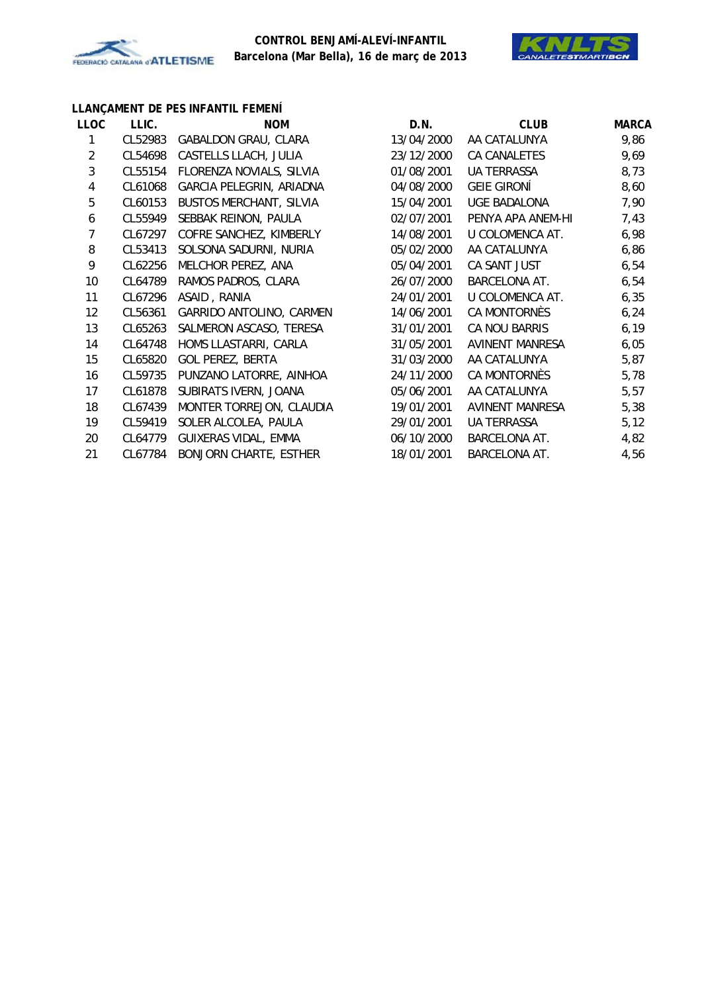



# **LLANÇAMENT DE PES INFANTIL FEMENÍ**

| <b>LLOC</b>    | LLIC.   | <b>NOM</b>                     | D.N.       | <b>CLUB</b>          | <b>MARCA</b> |
|----------------|---------|--------------------------------|------------|----------------------|--------------|
| 1              | CL52983 | GABALDON GRAU, CLARA           | 13/04/2000 | AA CATALUNYA         | 9,86         |
| $\overline{2}$ | CL54698 | CASTELLS LLACH, JULIA          | 23/12/2000 | CA CANALETES         | 9,69         |
| 3              | CL55154 | FLORENZA NOVIALS, SILVIA       | 01/08/2001 | UA TERRASSA          | 8,73         |
| 4              | CL61068 | GARCIA PELEGRIN, ARIADNA       | 04/08/2000 | <b>GEIE GIRONÍ</b>   | 8,60         |
| 5              | CL60153 | <b>BUSTOS MERCHANT, SILVIA</b> | 15/04/2001 | <b>UGE BADALONA</b>  | 7,90         |
| 6              | CL55949 | SEBBAK REINON, PAULA           | 02/07/2001 | PENYA APA ANEM-HI    | 7,43         |
| 7              | CL67297 | COFRE SANCHEZ, KIMBERLY        | 14/08/2001 | U COLOMENCA AT.      | 6,98         |
| 8              | CL53413 | SOLSONA SADURNI, NURIA         | 05/02/2000 | AA CATALUNYA         | 6,86         |
| 9              | CL62256 | MELCHOR PEREZ, ANA             | 05/04/2001 | CA SANT JUST         | 6,54         |
| 10             | CL64789 | RAMOS PADROS, CLARA            | 26/07/2000 | <b>BARCELONA AT.</b> | 6,54         |
| 11             | CL67296 | ASAID, RANIA                   | 24/01/2001 | U COLOMENCA AT.      | 6,35         |
| 12             | CL56361 | GARRIDO ANTOLINO, CARMEN       | 14/06/2001 | CA MONTORNÈS         | 6, 24        |
| 13             | CL65263 | SALMERON ASCASO, TERESA        | 31/01/2001 | CA NOU BARRIS        | 6, 19        |
| 14             | CL64748 | HOMS LLASTARRI, CARLA          | 31/05/2001 | AVINENT MANRESA      | 6,05         |
| 15             | CL65820 | <b>GOL PEREZ, BERTA</b>        | 31/03/2000 | AA CATALUNYA         | 5,87         |
| 16             | CL59735 | PUNZANO LATORRE, AINHOA        | 24/11/2000 | CA MONTORNÈS         | 5,78         |
| 17             | CL61878 | SUBIRATS IVERN, JOANA          | 05/06/2001 | AA CATALUNYA         | 5,57         |
| 18             | CL67439 | MONTER TORREJON, CLAUDIA       | 19/01/2001 | AVINENT MANRESA      | 5,38         |
| 19             | CL59419 | SOLER ALCOLEA, PAULA           | 29/01/2001 | <b>UA TERRASSA</b>   | 5,12         |
| 20             | CL64779 | GUIXERAS VIDAL, EMMA           | 06/10/2000 | <b>BARCELONA AT.</b> | 4,82         |
| 21             | CL67784 | <b>BONJORN CHARTE, ESTHER</b>  | 18/01/2001 | BARCELONA AT.        | 4,56         |
|                |         |                                |            |                      |              |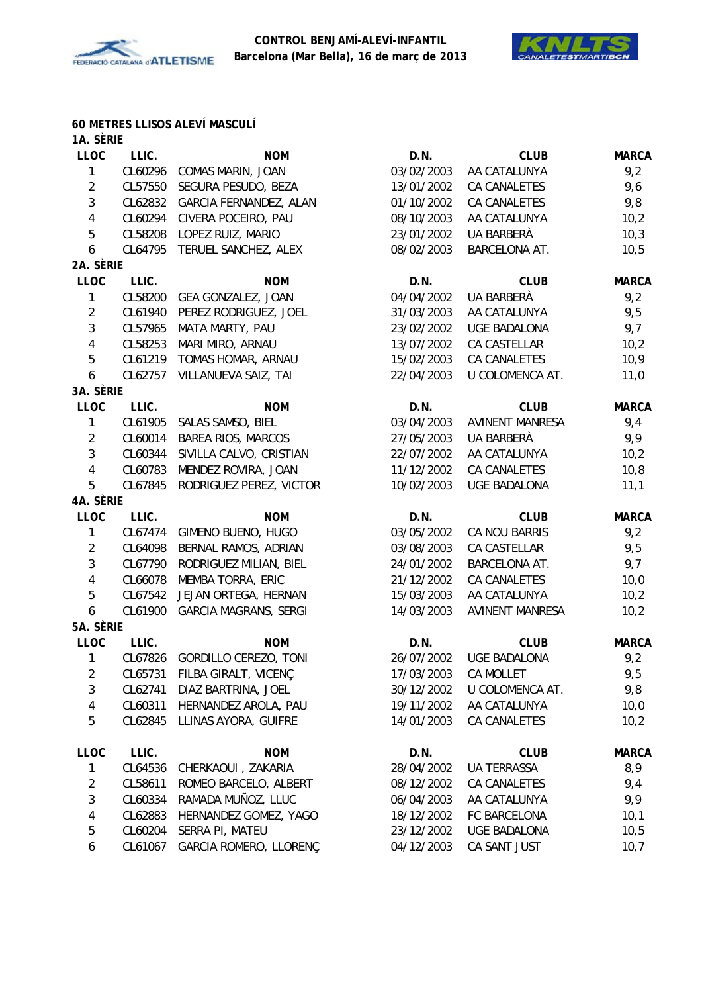



#### **60 METRES LLISOS ALEVÍ MASCULÍ**

| 1A. SÈRIE               |         |                               |            |                        |              |
|-------------------------|---------|-------------------------------|------------|------------------------|--------------|
| <b>LLOC</b>             | LLIC.   | <b>NOM</b>                    | D.N.       | <b>CLUB</b>            | <b>MARCA</b> |
| 1                       | CL60296 | COMAS MARIN, JOAN             | 03/02/2003 | AA CATALUNYA           | 9,2          |
| $\sqrt{2}$              | CL57550 | SEGURA PESUDO, BEZA           | 13/01/2002 | CA CANALETES           | 9,6          |
| 3                       | CL62832 | GARCIA FERNANDEZ, ALAN        | 01/10/2002 | CA CANALETES           | 9,8          |
| $\overline{\mathbf{4}}$ | CL60294 | CIVERA POCEIRO, PAU           | 08/10/2003 | AA CATALUNYA           | 10,2         |
| 5                       | CL58208 | LOPEZ RUIZ, MARIO             | 23/01/2002 | UA BARBERÀ             | 10,3         |
| 6                       | CL64795 | TERUEL SANCHEZ, ALEX          | 08/02/2003 | BARCELONA AT.          | 10,5         |
| 2A. SÈRIE               |         |                               |            |                        |              |
| <b>LLOC</b>             | LLIC.   | <b>NOM</b>                    | D.N.       | <b>CLUB</b>            | <b>MARCA</b> |
| 1                       | CL58200 | GEA GONZALEZ, JOAN            | 04/04/2002 | UA BARBERÀ             | 9,2          |
| $\overline{2}$          | CL61940 | PEREZ RODRIGUEZ, JOEL         | 31/03/2003 | AA CATALUNYA           | 9,5          |
| 3                       | CL57965 | MATA MARTY, PAU               | 23/02/2002 | <b>UGE BADALONA</b>    | 9,7          |
| $\overline{4}$          | CL58253 | MARI MIRO, ARNAU              | 13/07/2002 | CA CASTELLAR           | 10,2         |
| 5                       | CL61219 | TOMAS HOMAR, ARNAU            | 15/02/2003 | CA CANALETES           | 10,9         |
| 6                       | CL62757 | VILLANUEVA SAIZ, TAI          | 22/04/2003 | U COLOMENCA AT.        | 11,0         |
| 3A. SÈRIE               |         |                               |            |                        |              |
| <b>LLOC</b>             | LLIC.   | <b>NOM</b>                    | D.N.       | <b>CLUB</b>            | <b>MARCA</b> |
| 1                       | CL61905 | SALAS SAMSO, BIEL             | 03/04/2003 | <b>AVINENT MANRESA</b> | 9,4          |
| $\overline{2}$          | CL60014 | <b>BAREA RIOS, MARCOS</b>     | 27/05/2003 | UA BARBERÀ             | 9,9          |
| 3                       | CL60344 | SIVILLA CALVO, CRISTIAN       | 22/07/2002 | AA CATALUNYA           | 10,2         |
| $\overline{4}$          | CL60783 | MENDEZ ROVIRA, JOAN           | 11/12/2002 | CA CANALETES           | 10, 8        |
| 5                       | CL67845 | RODRIGUEZ PEREZ, VICTOR       | 10/02/2003 | <b>UGE BADALONA</b>    | 11,1         |
| 4A. SÈRIE               |         |                               |            |                        |              |
| <b>LLOC</b>             | LLIC.   | <b>NOM</b>                    | D.N.       | <b>CLUB</b>            | <b>MARCA</b> |
| 1                       | CL67474 | GIMENO BUENO, HUGO            | 03/05/2002 | CA NOU BARRIS          | 9,2          |
| $\overline{2}$          | CL64098 | BERNAL RAMOS, ADRIAN          | 03/08/2003 | CA CASTELLAR           | 9,5          |
| 3                       | CL67790 | RODRIGUEZ MILIAN, BIEL        | 24/01/2002 | BARCELONA AT.          | 9,7          |
| 4                       | CL66078 | MEMBA TORRA, ERIC             | 21/12/2002 | CA CANALETES           | 10,0         |
| 5                       | CL67542 | JEJAN ORTEGA, HERNAN          | 15/03/2003 | AA CATALUNYA           | 10,2         |
| 6                       | CL61900 | <b>GARCIA MAGRANS, SERGI</b>  | 14/03/2003 | <b>AVINENT MANRESA</b> | 10,2         |
| 5A. SÈRIE               |         |                               |            |                        |              |
| <b>LLOC</b>             | LLIC.   | <b>NOM</b>                    | D.N.       | <b>CLUB</b>            | <b>MARCA</b> |
| 1                       |         | CL67826 GORDILLO CEREZO, TONI | 26/07/2002 | UGE BADALONA           | 9,2          |
| 2                       | CL65731 | FILBA GIRALT, VICENÇ          | 17/03/2003 | CA MOLLET              | 9,5          |
| 3                       | CL62741 | DIAZ BARTRINA, JOEL           | 30/12/2002 | U COLOMENCA AT.        | 9,8          |
| 4                       | CL60311 | HERNANDEZ AROLA, PAU          | 19/11/2002 | AA CATALUNYA           | 10,0         |
| 5                       | CL62845 | LLINAS AYORA, GUIFRE          | 14/01/2003 | CA CANALETES           | 10,2         |
|                         |         |                               |            |                        |              |
| <b>LLOC</b>             | LLIC.   | <b>NOM</b>                    | D.N.       | <b>CLUB</b>            | <b>MARCA</b> |
| 1                       | CL64536 | CHERKAOUI, ZAKARIA            | 28/04/2002 | <b>UA TERRASSA</b>     | 8,9          |
| $\overline{2}$          | CL58611 | ROMEO BARCELO, ALBERT         | 08/12/2002 | CA CANALETES           | 9,4          |
| $\mathfrak{Z}$          | CL60334 | RAMADA MUÑOZ, LLUC            | 06/04/2003 | AA CATALUNYA           | 9,9          |
| 4                       | CL62883 | HERNANDEZ GOMEZ, YAGO         | 18/12/2002 | FC BARCELONA           | 10,1         |
| 5                       | CL60204 | SERRA PI, MATEU               | 23/12/2002 | <b>UGE BADALONA</b>    | 10,5         |
| 6                       | CL61067 | GARCIA ROMERO, LLORENÇ        | 04/12/2003 | CA SANT JUST           | 10,7         |
|                         |         |                               |            |                        |              |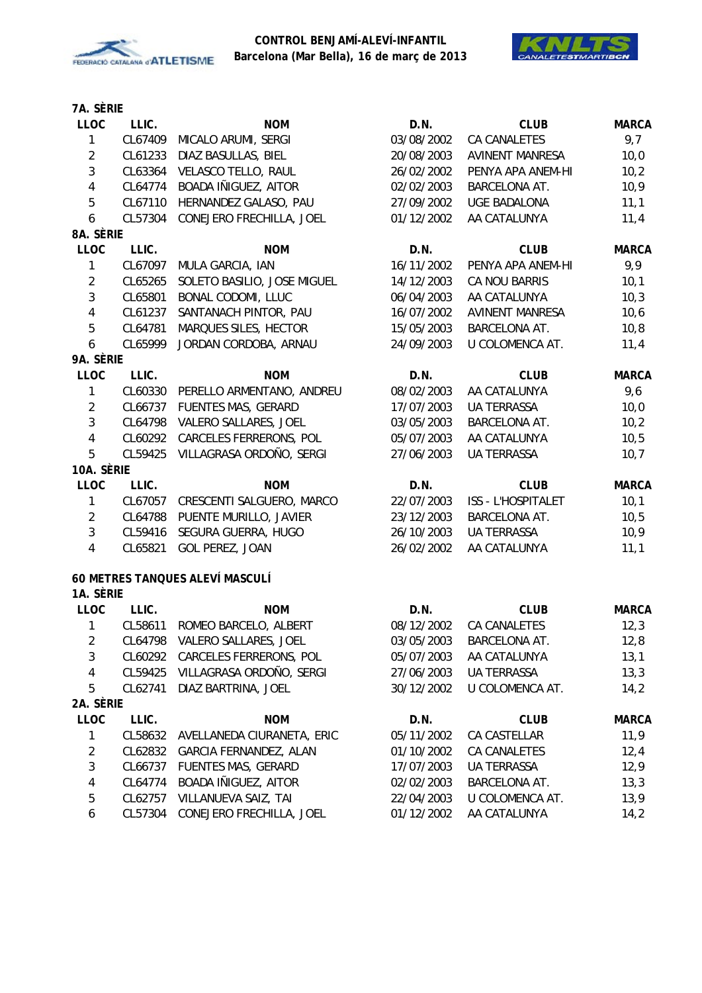



| <b>LLOC</b>             | LLIC.   | <b>NOM</b>                        | D.N.       | <b>CLUB</b>               | <b>MARCA</b> |
|-------------------------|---------|-----------------------------------|------------|---------------------------|--------------|
| $\mathbf{1}$            | CL67409 | MICALO ARUMI, SERGI               | 03/08/2002 | CA CANALETES              | 9,7          |
| $\overline{a}$          | CL61233 | DIAZ BASULLAS, BIEL               | 20/08/2003 | <b>AVINENT MANRESA</b>    | 10,0         |
| $\mathbf{3}$            | CL63364 | VELASCO TELLO, RAUL               | 26/02/2002 | PENYA APA ANEM-HI         | 10,2         |
| 4                       | CL64774 | BOADA IÑIGUEZ, AITOR              | 02/02/2003 | <b>BARCELONA AT.</b>      | 10,9         |
| 5                       | CL67110 | HERNANDEZ GALASO, PAU             | 27/09/2002 | <b>UGE BADALONA</b>       | 11,1         |
| 6                       | CL57304 | CONEJERO FRECHILLA, JOEL          | 01/12/2002 | AA CATALUNYA              | 11,4         |
| 8A. SÈRIE               |         |                                   |            |                           |              |
| <b>LLOC</b>             | LLIC.   | <b>NOM</b>                        | D.N.       | <b>CLUB</b>               | <b>MARCA</b> |
| $\mathbf{1}$            | CL67097 | MULA GARCIA, IAN                  | 16/11/2002 | PENYA APA ANEM-HI         | 9,9          |
| $\overline{2}$          | CL65265 | SOLETO BASILIO, JOSE MIGUEL       | 14/12/2003 | CA NOU BARRIS             | 10,1         |
| 3                       | CL65801 | BONAL CODOMI, LLUC                | 06/04/2003 | AA CATALUNYA              | 10,3         |
| $\overline{\mathbf{4}}$ | CL61237 | SANTANACH PINTOR, PAU             | 16/07/2002 | <b>AVINENT MANRESA</b>    | 10,6         |
| 5                       | CL64781 | MARQUES SILES, HECTOR             | 15/05/2003 | BARCELONA AT.             | 10,8         |
| 6                       | CL65999 | JORDAN CORDOBA, ARNAU             | 24/09/2003 | U COLOMENCA AT.           | 11,4         |
| 9A. Sèrie               |         |                                   |            |                           |              |
| <b>LLOC</b>             | LLIC.   | <b>NOM</b>                        | D.N.       | <b>CLUB</b>               | <b>MARCA</b> |
| 1                       | CL60330 | PERELLO ARMENTANO, ANDREU         | 08/02/2003 | AA CATALUNYA              | 9,6          |
| $\overline{2}$          | CL66737 | FUENTES MAS, GERARD               | 17/07/2003 | <b>UA TERRASSA</b>        | 10,0         |
| 3                       |         | CL64798 VALERO SALLARES, JOEL     | 03/05/2003 | BARCELONA AT.             | 10,2         |
| $\overline{\mathbf{4}}$ |         | CL60292 CARCELES FERRERONS, POL   | 05/07/2003 | AA CATALUNYA              | 10,5         |
| 5                       | CL59425 | VILLAGRASA ORDOÑO, SERGI          | 27/06/2003 | UA TERRASSA               | 10,7         |
| 10A. SÈRIE              |         |                                   |            |                           |              |
| <b>LLOC</b>             | LLIC.   | <b>NOM</b>                        | D.N.       | <b>CLUB</b>               | <b>MARCA</b> |
| 1                       |         | CL67057 CRESCENTI SALGUERO, MARCO | 22/07/2003 | <b>ISS - L'HOSPITALET</b> | 10,1         |
| $\overline{2}$          | CL64788 | PUENTE MURILLO, JAVIER            | 23/12/2003 | BARCELONA AT.             | 10,5         |
| 3                       | CL59416 | SEGURA GUERRA, HUGO               | 26/10/2003 | <b>UA TERRASSA</b>        | 10,9         |
| $\overline{\mathbf{4}}$ | CL65821 | GOL PEREZ, JOAN                   | 26/02/2002 | AA CATALUNYA              | 11,1         |
|                         |         | 60 METRES TANQUES ALEVÍ MASCULÍ   |            |                           |              |
| 1A. SÈRIE               |         |                                   |            |                           |              |
| <b>LLOC</b>             | LLIC.   | <b>NOM</b>                        | D.N.       | <b>CLUB</b>               | <b>MARCA</b> |
| 1                       | CL58611 | ROMEO BARCELO, ALBERT             | 08/12/2002 | CA CANALETES              | 12,3         |
| $\overline{2}$          | CL64798 | VALERO SALLARES, JOEL             | 03/05/2003 | BARCELONA AT.             | 12,8         |
| 3                       | CL60292 | CARCELES FERRERONS, POL           | 05/07/2003 | AA CATALUNYA              | 13,1         |
| 4                       | CL59425 | VILLAGRASA ORDOÑO, SERGI          | 27/06/2003 | <b>UA TERRASSA</b>        | 13,3         |
| 5                       | CL62741 | DIAZ BARTRINA, JOEL               | 30/12/2002 | U COLOMENCA AT.           | 14,2         |
| 2A. SÈRIE               |         |                                   |            |                           |              |
| <b>LLOC</b>             | LLIC.   | <b>NOM</b>                        | D.N.       | <b>CLUB</b>               | <b>MARCA</b> |
| 1                       | CL58632 | AVELLANEDA CIURANETA, ERIC        | 05/11/2002 | CA CASTELLAR              | 11,9         |
| 2                       | CL62832 | GARCIA FERNANDEZ, ALAN            | 01/10/2002 | CA CANALETES              | 12,4         |
| 3                       | CL66737 | <b>FUENTES MAS, GERARD</b>        | 17/07/2003 | <b>UA TERRASSA</b>        | 12,9         |
| 4                       | CL64774 | BOADA IÑIGUEZ, AITOR              | 02/02/2003 | BARCELONA AT.             | 13,3         |
| 5                       | CL62757 | VILLANUEVA SAIZ, TAI              | 22/04/2003 | U COLOMENCA AT.           | 13,9         |
| 6                       | CL57304 | CONEJERO FRECHILLA, JOEL          | 01/12/2002 | AA CATALUNYA              | 14,2         |
|                         |         |                                   |            |                           |              |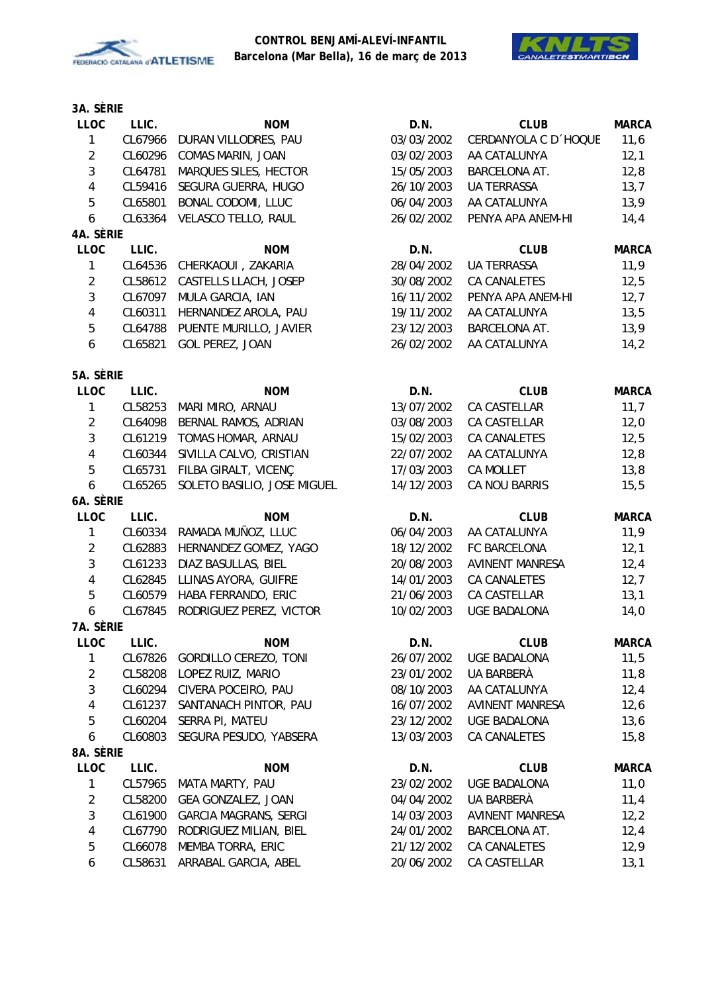



| <b>LLOC</b>    | LLIC.   | <b>NOM</b>                   | D.N.       | <b>CLUB</b>            | <b>MARCA</b> |
|----------------|---------|------------------------------|------------|------------------------|--------------|
| $\mathbf{1}$   | CL67966 | DURAN VILLODRES, PAU         | 03/03/2002 | CERDANYOLA C D 'HOQUE  | 11,6         |
| $\overline{2}$ | CL60296 | COMAS MARIN, JOAN            | 03/02/2003 | AA CATALUNYA           | 12,1         |
| 3              | CL64781 | MARQUES SILES, HECTOR        | 15/05/2003 | BARCELONA AT.          | 12,8         |
| $\sqrt{4}$     | CL59416 | SEGURA GUERRA, HUGO          | 26/10/2003 | UA TERRASSA            | 13,7         |
| $\overline{5}$ | CL65801 | <b>BONAL CODOMI, LLUC</b>    | 06/04/2003 | AA CATALUNYA           | 13,9         |
| 6              | CL63364 | VELASCO TELLO, RAUL          | 26/02/2002 | PENYA APA ANEM-HI      | 14, 4        |
| 4A. SÈRIE      |         |                              |            |                        |              |
| <b>LLOC</b>    | LLIC.   | <b>NOM</b>                   | D.N.       | <b>CLUB</b>            | <b>MARCA</b> |
| 1              | CL64536 | CHERKAOUI, ZAKARIA           | 28/04/2002 | UA TERRASSA            | 11,9         |
| $\overline{2}$ | CL58612 | CASTELLS LLACH, JOSEP        | 30/08/2002 | <b>CA CANALETES</b>    | 12,5         |
| 3              | CL67097 | MULA GARCIA, IAN             | 16/11/2002 | PENYA APA ANEM-HI      | 12,7         |
| $\sqrt{4}$     | CL60311 | HERNANDEZ AROLA, PAU         | 19/11/2002 | AA CATALUNYA           | 13,5         |
| 5              | CL64788 | PUENTE MURILLO, JAVIER       | 23/12/2003 | BARCELONA AT.          | 13,9         |
| 6              | CL65821 | GOL PEREZ, JOAN              | 26/02/2002 | AA CATALUNYA           | 14,2         |
| 5A. SÈRIE      |         |                              |            |                        |              |
| LLOC           | LLIC.   | <b>NOM</b>                   | D.N.       | <b>CLUB</b>            | <b>MARCA</b> |
| 1              | CL58253 | MARI MIRO, ARNAU             | 13/07/2002 | CA CASTELLAR           | 11,7         |
| $\overline{2}$ | CL64098 | BERNAL RAMOS, ADRIAN         | 03/08/2003 | CA CASTELLAR           | 12,0         |
| 3              | CL61219 | TOMAS HOMAR, ARNAU           | 15/02/2003 | CA CANALETES           | 12,5         |
| $\sqrt{4}$     | CL60344 | SIVILLA CALVO, CRISTIAN      | 22/07/2002 | AA CATALUNYA           | 12,8         |
| 5              | CL65731 | FILBA GIRALT, VICENÇ         | 17/03/2003 | CA MOLLET              | 13,8         |
| 6              | CL65265 | SOLETO BASILIO, JOSE MIGUEL  | 14/12/2003 | CA NOU BARRIS          | 15,5         |
| 6A. SÈRIE      |         |                              |            |                        |              |
| <b>LLOC</b>    | LLIC.   | <b>NOM</b>                   | D.N.       | <b>CLUB</b>            | <b>MARCA</b> |
| 1              | CL60334 | RAMADA MUÑOZ, LLUC           | 06/04/2003 | AA CATALUNYA           | 11,9         |
| $\overline{2}$ | CL62883 | HERNANDEZ GOMEZ, YAGO        | 18/12/2002 | FC BARCELONA           | 12,1         |
| 3              | CL61233 | DIAZ BASULLAS, BIEL          | 20/08/2003 | <b>AVINENT MANRESA</b> | 12,4         |
| $\sqrt{4}$     | CL62845 | LLINAS AYORA, GUIFRE         | 14/01/2003 | CA CANALETES           | 12,7         |
| 5              | CL60579 | HABA FERRANDO, ERIC          | 21/06/2003 | CA CASTELLAR           | 13,1         |
| 6              | CL67845 | RODRIGUEZ PEREZ, VICTOR      | 10/02/2003 | <b>UGE BADALONA</b>    | 14,0         |
| 7A. SÈRIE      |         |                              |            |                        |              |
| <b>LLOC</b>    | LLIC.   | <b>NOM</b>                   | D.N.       | <b>CLUB</b>            | <b>MARCA</b> |
| 1              | CL67826 | GORDILLO CEREZO, TONI        | 26/07/2002 | <b>UGE BADALONA</b>    | 11,5         |
| $\overline{2}$ | CL58208 | LOPEZ RUIZ, MARIO            | 23/01/2002 | UA BARBERÀ             | 11,8         |
| 3              | CL60294 | CIVERA POCEIRO, PAU          | 08/10/2003 | AA CATALUNYA           | 12,4         |
| 4              | CL61237 | SANTANACH PINTOR, PAU        | 16/07/2002 | <b>AVINENT MANRESA</b> | 12,6         |
| 5              | CL60204 | SERRA PI, MATEU              | 23/12/2002 | <b>UGE BADALONA</b>    | 13,6         |
| 6              | CL60803 | SEGURA PESUDO, YABSERA       | 13/03/2003 | CA CANALETES           | 15,8         |
| 8A. SÈRIE      |         |                              |            |                        |              |
| LLOC           | LLIC.   | <b>NOM</b>                   | D.N.       | <b>CLUB</b>            | <b>MARCA</b> |
| 1              | CL57965 | MATA MARTY, PAU              | 23/02/2002 | <b>UGE BADALONA</b>    | 11,0         |
| $\overline{2}$ | CL58200 | GEA GONZALEZ, JOAN           | 04/04/2002 | UA BARBERÀ             | 11,4         |
| 3              | CL61900 | <b>GARCIA MAGRANS, SERGI</b> | 14/03/2003 | <b>AVINENT MANRESA</b> | 12,2         |
| 4              | CL67790 | RODRIGUEZ MILIAN, BIEL       | 24/01/2002 | BARCELONA AT.          | 12,4         |
| 5              | CL66078 | MEMBA TORRA, ERIC            | 21/12/2002 | CA CANALETES           | 12,9         |
| 6              | CL58631 | ARRABAL GARCIA, ABEL         | 20/06/2002 | CA CASTELLAR           | 13,1         |
|                |         |                              |            |                        |              |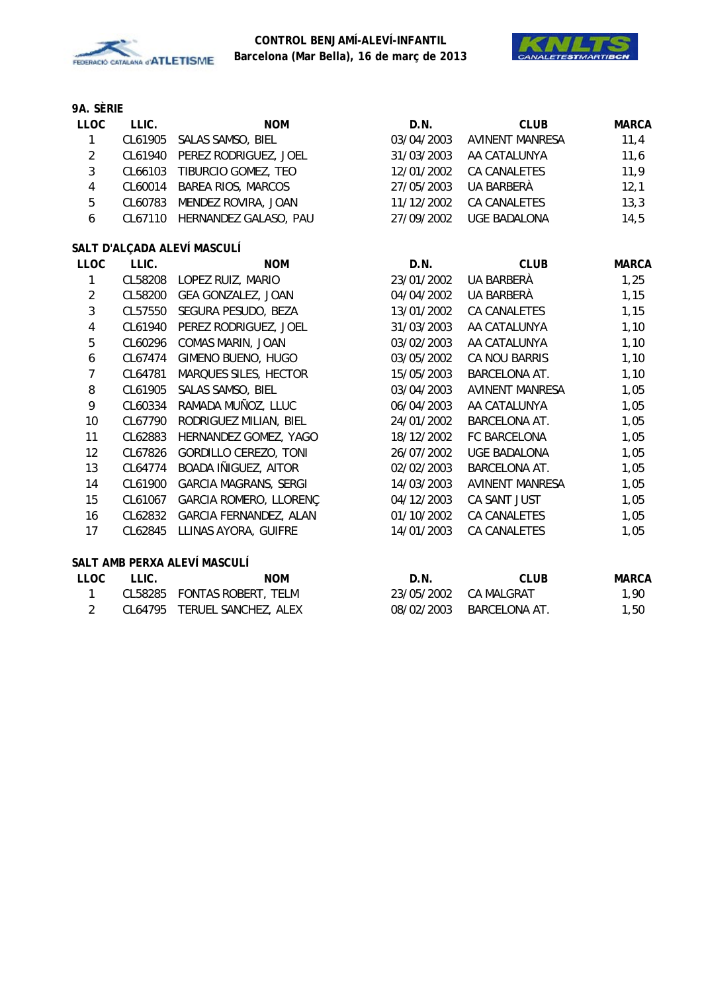



| <b>LLOC</b>    | LLIC.   | <b>NOM</b>                    | D.N.       | <b>CLUB</b>            | <b>MARCA</b> |
|----------------|---------|-------------------------------|------------|------------------------|--------------|
| $\mathbf{1}$   |         | CL61905 SALAS SAMSO, BIEL     | 03/04/2003 | <b>AVINENT MANRESA</b> | 11,4         |
| $\overline{2}$ | CL61940 | PEREZ RODRIGUEZ, JOEL         | 31/03/2003 | AA CATALUNYA           | 11,6         |
| $\sqrt{3}$     |         | CL66103 TIBURCIO GOMEZ, TEO   | 12/01/2002 | <b>CA CANALETES</b>    | 11,9         |
| $\overline{4}$ | CL60014 | <b>BAREA RIOS, MARCOS</b>     | 27/05/2003 | UA BARBERÀ             | 12,1         |
| 5              |         | CL60783 MENDEZ ROVIRA, JOAN   | 11/12/2002 | CA CANALETES           | 13,3         |
| 6              | CL67110 | HERNANDEZ GALASO, PAU         | 27/09/2002 | <b>UGE BADALONA</b>    | 14,5         |
|                |         | SALT D'ALÇADA ALEVÍ MASCULÍ   |            |                        |              |
| <b>LLOC</b>    | LLIC.   | <b>NOM</b>                    | D.N.       | <b>CLUB</b>            | <b>MARCA</b> |
| 1              |         | CL58208 LOPEZ RUIZ, MARIO     | 23/01/2002 | UA BARBERÀ             | 1,25         |
| $\sqrt{2}$     |         | CL58200 GEA GONZALEZ, JOAN    | 04/04/2002 | UA BARBERÀ             | 1,15         |
| $\overline{3}$ | CL57550 | SEGURA PESUDO, BEZA           | 13/01/2002 | CA CANALETES           | 1,15         |
| $\overline{4}$ |         | CL61940 PEREZ RODRIGUEZ, JOEL | 31/03/2003 | AA CATALUNYA           | 1,10         |
| 5              | CL60296 | COMAS MARIN, JOAN             | 03/02/2003 | AA CATALUNYA           | 1,10         |
| 6              | CL67474 | GIMENO BUENO, HUGO            | 03/05/2002 | CA NOU BARRIS          | 1,10         |
| $\overline{7}$ | CL64781 | MARQUES SILES, HECTOR         | 15/05/2003 | <b>BARCELONA AT.</b>   | 1,10         |
| 8              | CL61905 | SALAS SAMSO, BIEL             | 03/04/2003 | <b>AVINENT MANRESA</b> | 1,05         |
| 9              | CL60334 | RAMADA MUÑOZ, LLUC            | 06/04/2003 | AA CATALUNYA           | 1,05         |
| 10             | CL67790 | RODRIGUEZ MILIAN, BIEL        | 24/01/2002 | BARCELONA AT.          | 1,05         |
| 11             | CL62883 | HERNANDEZ GOMEZ, YAGO         | 18/12/2002 | FC BARCELONA           | 1,05         |
| 12             | CL67826 | GORDILLO CEREZO, TONI         | 26/07/2002 | UGE BADALONA           | 1,05         |
| 13             | CL64774 | BOADA IÑIGUEZ, AITOR          | 02/02/2003 | <b>BARCELONA AT.</b>   | 1,05         |
| 14             | CL61900 | <b>GARCIA MAGRANS, SERGI</b>  | 14/03/2003 | <b>AVINENT MANRESA</b> | 1,05         |
| 15             | CL61067 | GARCIA ROMERO, LLORENÇ        | 04/12/2003 | CA SANT JUST           | 1,05         |
| 16             | CL62832 | GARCIA FERNANDEZ, ALAN        | 01/10/2002 | CA CANALETES           | 1,05         |
| 17             | CL62845 | LLINAS AYORA, GUIFRE          | 14/01/2003 | CA CANALETES           | 1,05         |
|                |         | SALT AMB PERXA ALEVÍ MASCULÍ  |            |                        |              |
| <b>LLOC</b>    | LLIC.   | <b>NOM</b>                    | D.N.       | <b>CLUB</b>            | <b>MARCA</b> |

| LLUU. | LLIV. | <b>INUIVI</b>                | D.N. | <b>VLUD</b>              | <b>IVIARCA</b> |
|-------|-------|------------------------------|------|--------------------------|----------------|
|       |       | CL58285 FONTAS ROBERT, TELM  |      | 23/05/2002 CA MALGRAT    | 1,90           |
|       |       | CL64795 TERUEL SANCHEZ, ALEX |      | 08/02/2003 BARCELONA AT. | 1,50           |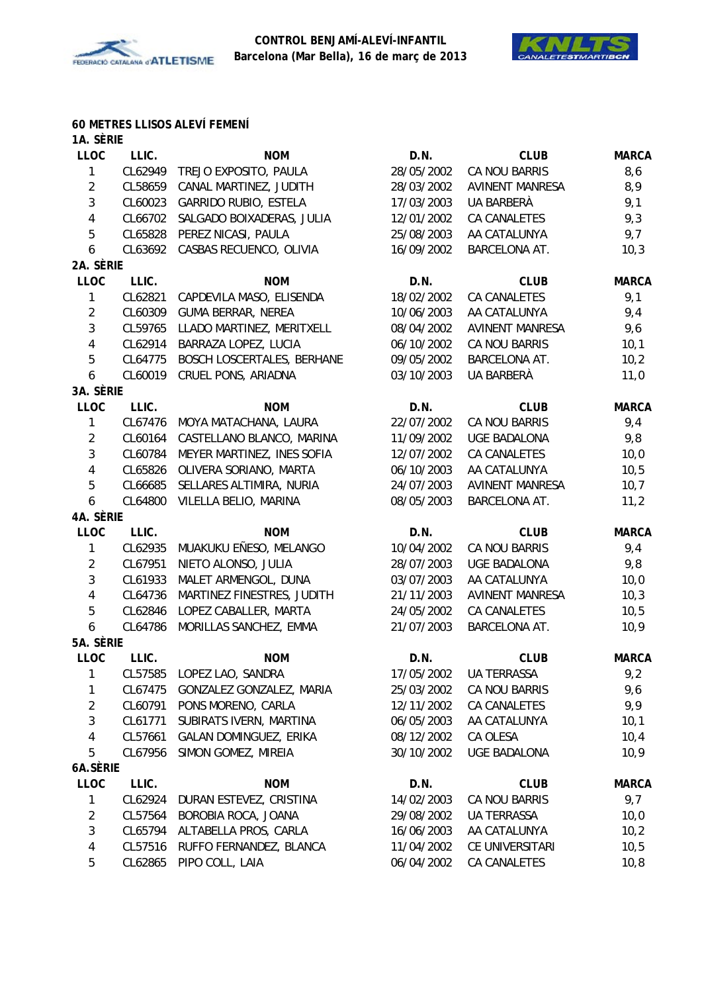



#### **60 METRES LLISOS ALEVÍ FEMENÍ**

| 1A. SÈRIE               |         |                                   |            |                        |              |
|-------------------------|---------|-----------------------------------|------------|------------------------|--------------|
| <b>LLOC</b>             | LLIC.   | <b>NOM</b>                        | D.N.       | <b>CLUB</b>            | <b>MARCA</b> |
| 1                       | CL62949 | TREJO EXPOSITO, PAULA             | 28/05/2002 | CA NOU BARRIS          | 8,6          |
| $\sqrt{2}$              | CL58659 | CANAL MARTINEZ, JUDITH            | 28/03/2002 | <b>AVINENT MANRESA</b> | 8,9          |
| 3                       | CL60023 | GARRIDO RUBIO, ESTELA             | 17/03/2003 | UA BARBERÀ             | 9,1          |
| $\overline{\mathbf{4}}$ | CL66702 | SALGADO BOIXADERAS, JULIA         | 12/01/2002 | <b>CA CANALETES</b>    | 9,3          |
| 5                       | CL65828 | PEREZ NICASI, PAULA               | 25/08/2003 | AA CATALUNYA           | 9,7          |
| 6                       | CL63692 | CASBAS RECUENCO, OLIVIA           | 16/09/2002 | BARCELONA AT.          | 10,3         |
| 2A. SÈRIE               |         |                                   |            |                        |              |
| <b>LLOC</b>             | LLIC.   | <b>NOM</b>                        | D.N.       | <b>CLUB</b>            | <b>MARCA</b> |
| 1                       | CL62821 | CAPDEVILA MASO, ELISENDA          | 18/02/2002 | <b>CA CANALETES</b>    | 9,1          |
| $\overline{2}$          | CL60309 | <b>GUMA BERRAR, NEREA</b>         | 10/06/2003 | AA CATALUNYA           | 9,4          |
| $\mathfrak{Z}$          | CL59765 | LLADO MARTINEZ, MERITXELL         | 08/04/2002 | <b>AVINENT MANRESA</b> | 9,6          |
| $\overline{\mathbf{4}}$ | CL62914 | BARRAZA LOPEZ, LUCIA              | 06/10/2002 | CA NOU BARRIS          | 10,1         |
| 5                       | CL64775 | <b>BOSCH LOSCERTALES, BERHANE</b> | 09/05/2002 | BARCELONA AT.          | 10,2         |
| 6                       | CL60019 | CRUEL PONS, ARIADNA               | 03/10/2003 | <b>UA BARBERÀ</b>      | 11,0         |
| 3A. SÈRIE               |         |                                   |            |                        |              |
| <b>LLOC</b>             | LLIC.   | <b>NOM</b>                        | D.N.       | <b>CLUB</b>            | <b>MARCA</b> |
| 1                       | CL67476 | MOYA MATACHANA, LAURA             | 22/07/2002 | CA NOU BARRIS          | 9,4          |
| $\overline{2}$          | CL60164 | CASTELLANO BLANCO, MARINA         | 11/09/2002 | <b>UGE BADALONA</b>    | 9,8          |
| $\mathfrak{Z}$          | CL60784 | MEYER MARTINEZ, INES SOFIA        | 12/07/2002 | CA CANALETES           | 10,0         |
| $\overline{\mathbf{4}}$ | CL65826 | OLIVERA SORIANO, MARTA            | 06/10/2003 | AA CATALUNYA           | 10,5         |
| 5                       | CL66685 | SELLARES ALTIMIRA, NURIA          | 24/07/2003 | <b>AVINENT MANRESA</b> | 10,7         |
| 6                       | CL64800 | VILELLA BELIO, MARINA             | 08/05/2003 | BARCELONA AT.          | 11,2         |
| 4A. SÈRIE               |         |                                   |            |                        |              |
| LLOC                    | LLIC.   | <b>NOM</b>                        | D.N.       | <b>CLUB</b>            | <b>MARCA</b> |
| 1                       | CL62935 | MUAKUKU EÑESO, MELANGO            | 10/04/2002 | CA NOU BARRIS          | 9,4          |
| $\overline{2}$          | CL67951 | NIETO ALONSO, JULIA               | 28/07/2003 | <b>UGE BADALONA</b>    | 9,8          |
| 3                       | CL61933 | MALET ARMENGOL, DUNA              | 03/07/2003 | AA CATALUNYA           | 10,0         |
| 4                       | CL64736 | MARTINEZ FINESTRES, JUDITH        | 21/11/2003 | <b>AVINENT MANRESA</b> | 10,3         |
| 5                       | CL62846 | LOPEZ CABALLER, MARTA             | 24/05/2002 | CA CANALETES           | 10, 5        |
| 6                       | CL64786 | MORILLAS SANCHEZ, EMMA            | 21/07/2003 | BARCELONA AT.          | 10,9         |
| 5A. SÈRIE               |         |                                   |            |                        |              |
| <b>LLOC</b>             | LLIC.   | <b>NOM</b>                        | D.N.       | <b>CLUB</b>            | <b>MARCA</b> |
| 1                       |         | CL57585 LOPEZ LAO, SANDRA         | 17/05/2002 | UA TERRASSA            | 9,2          |
| 1                       | CL67475 | GONZALEZ GONZALEZ, MARIA          | 25/03/2002 | CA NOU BARRIS          | 9,6          |
| $\overline{2}$          | CL60791 | PONS MORENO, CARLA                | 12/11/2002 | CA CANALETES           | 9,9          |
| 3                       | CL61771 | SUBIRATS IVERN, MARTINA           | 06/05/2003 | AA CATALUNYA           | 10,1         |
| 4                       | CL57661 | GALAN DOMINGUEZ, ERIKA            | 08/12/2002 | CA OLESA               | 10,4         |
| 5                       | CL67956 | SIMON GOMEZ, MIREIA               | 30/10/2002 | <b>UGE BADALONA</b>    | 10,9         |
| 6A.SÈRIE                |         |                                   |            |                        |              |
| LLOC                    | LLIC.   | <b>NOM</b>                        | D.N.       | <b>CLUB</b>            | <b>MARCA</b> |
| 1                       | CL62924 | DURAN ESTEVEZ, CRISTINA           | 14/02/2003 | CA NOU BARRIS          | 9,7          |
| $\overline{2}$          | CL57564 | BOROBIA ROCA, JOANA               | 29/08/2002 | UA TERRASSA            | 10,0         |
| 3                       | CL65794 | ALTABELLA PROS, CARLA             | 16/06/2003 | AA CATALUNYA           | 10,2         |
| 4                       | CL57516 | RUFFO FERNANDEZ, BLANCA           | 11/04/2002 | CE UNIVERSITARI        | 10,5         |
| 5                       | CL62865 | PIPO COLL, LAIA                   | 06/04/2002 | CA CANALETES           | 10, 8        |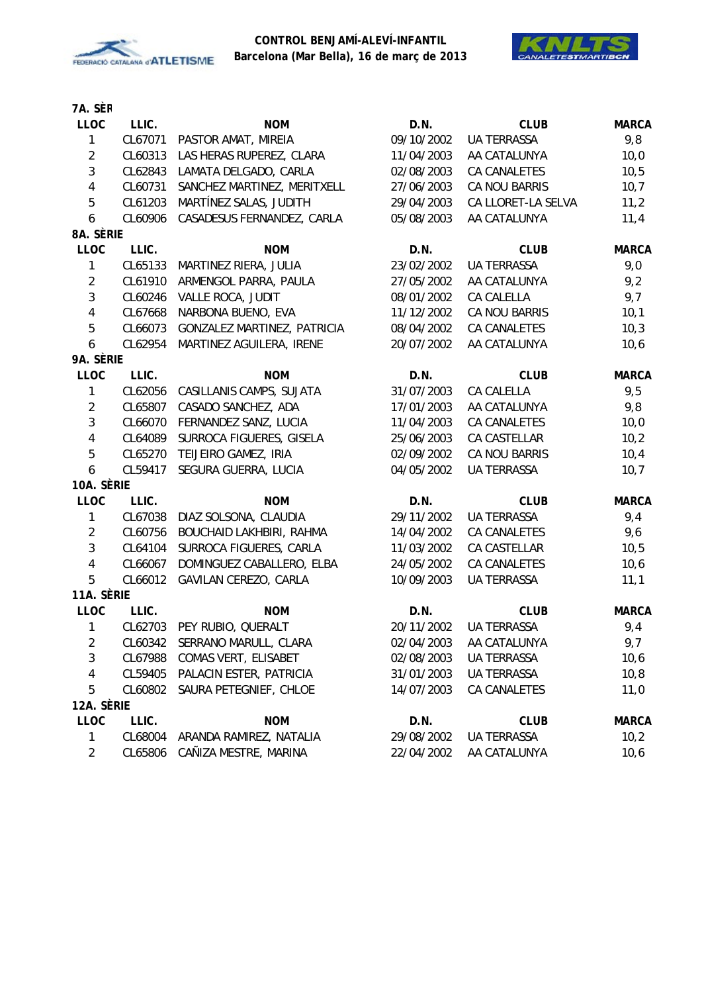



## **7A. SÈR**

| LLOC           | LLIC.   | <b>NOM</b>                  | D.N.       | <b>CLUB</b>        | <b>MARCA</b> |
|----------------|---------|-----------------------------|------------|--------------------|--------------|
| $\mathbf{1}$   | CL67071 | PASTOR AMAT, MIREIA         | 09/10/2002 | <b>UA TERRASSA</b> | 9,8          |
| $\overline{2}$ | CL60313 | LAS HERAS RUPEREZ, CLARA    | 11/04/2003 | AA CATALUNYA       | 10,0         |
| $\mathfrak{Z}$ | CL62843 | LAMATA DELGADO, CARLA       | 02/08/2003 | CA CANALETES       | 10, 5        |
| 4              | CL60731 | SANCHEZ MARTINEZ, MERITXELL | 27/06/2003 | CA NOU BARRIS      | 10,7         |
| 5              | CL61203 | MARTÍNEZ SALAS, JUDITH      | 29/04/2003 | CA LLORET-LA SELVA | 11,2         |
| 6              | CL60906 | CASADESUS FERNANDEZ, CARLA  | 05/08/2003 | AA CATALUNYA       | 11,4         |
| 8A. SÈRIE      |         |                             |            |                    |              |
| LLOC           | LLIC.   | <b>NOM</b>                  | D.N.       | <b>CLUB</b>        | <b>MARCA</b> |
| $\mathbf{1}$   | CL65133 | MARTINEZ RIERA, JULIA       | 23/02/2002 | <b>UA TERRASSA</b> | 9,0          |
| $\overline{2}$ | CL61910 | ARMENGOL PARRA, PAULA       | 27/05/2002 | AA CATALUNYA       | 9,2          |
| 3              | CL60246 | VALLE ROCA, JUDIT           | 08/01/2002 | CA CALELLA         | 9,7          |
| 4              | CL67668 | NARBONA BUENO, EVA          | 11/12/2002 | CA NOU BARRIS      | 10,1         |
| 5              | CL66073 | GONZALEZ MARTINEZ, PATRICIA | 08/04/2002 | CA CANALETES       | 10,3         |
| 6              | CL62954 | MARTINEZ AGUILERA, IRENE    | 20/07/2002 | AA CATALUNYA       | 10, 6        |
| 9A. SÈRIE      |         |                             |            |                    |              |
| <b>LLOC</b>    | LLIC.   | <b>NOM</b>                  | D.N.       | <b>CLUB</b>        | <b>MARCA</b> |
| $\mathbf{1}$   | CL62056 | CASILLANIS CAMPS, SUJATA    | 31/07/2003 | CA CALELLA         | 9,5          |
| $\overline{2}$ | CL65807 | CASADO SANCHEZ, ADA         | 17/01/2003 | AA CATALUNYA       | 9,8          |
| $\mathfrak{Z}$ | CL66070 | FERNANDEZ SANZ, LUCIA       | 11/04/2003 | CA CANALETES       | 10,0         |
| 4              | CL64089 | SURROCA FIGUERES, GISELA    | 25/06/2003 | CA CASTELLAR       | 10,2         |
| 5              | CL65270 | TEIJEIRO GAMEZ, IRIA        | 02/09/2002 | CA NOU BARRIS      | 10,4         |
| 6              | CL59417 | SEGURA GUERRA, LUCIA        | 04/05/2002 | <b>UA TERRASSA</b> | 10,7         |
| 10A. SÈRIE     |         |                             |            |                    |              |
| <b>LLOC</b>    | LLIC.   | <b>NOM</b>                  | D.N.       | <b>CLUB</b>        | <b>MARCA</b> |
| 1              | CL67038 | DIAZ SOLSONA, CLAUDIA       | 29/11/2002 | <b>UA TERRASSA</b> | 9,4          |
| $\overline{2}$ | CL60756 | BOUCHAID LAKHBIRI, RAHMA    | 14/04/2002 | CA CANALETES       | 9,6          |
| 3              | CL64104 | SURROCA FIGUERES, CARLA     | 11/03/2002 | CA CASTELLAR       | 10, 5        |
| $\pmb{4}$      | CL66067 | DOMINGUEZ CABALLERO, ELBA   | 24/05/2002 | CA CANALETES       | 10, 6        |
| 5              | CL66012 | GAVILAN CEREZO, CARLA       | 10/09/2003 | <b>UA TERRASSA</b> | 11,1         |
| 11A. SÈRIE     |         |                             |            |                    |              |
| <b>LLOC</b>    | LLIC.   | <b>NOM</b>                  | D.N.       | <b>CLUB</b>        | <b>MARCA</b> |
| 1              |         | CL62703 PEY RUBIO, QUERALT  | 20/11/2002 | <b>UA TERRASSA</b> | 9,4          |
| $\overline{2}$ | CL60342 | SERRANO MARULL, CLARA       | 02/04/2003 | AA CATALUNYA       | 9,7          |
| 3              | CL67988 | COMAS VERT, ELISABET        | 02/08/2003 | <b>UA TERRASSA</b> | 10,6         |
| 4              | CL59405 | PALACIN ESTER, PATRICIA     | 31/01/2003 | UA TERRASSA        | 10,8         |
| 5              | CL60802 | SAURA PETEGNIEF, CHLOE      | 14/07/2003 | CA CANALETES       | 11,0         |
| 12A. SÈRIE     |         |                             |            |                    |              |
| <b>LLOC</b>    | LLIC.   | <b>NOM</b>                  | D.N.       | <b>CLUB</b>        | <b>MARCA</b> |
| $\mathbf{1}$   | CL68004 | ARANDA RAMIREZ, NATALIA     | 29/08/2002 | <b>UA TERRASSA</b> | 10,2         |
| $\overline{2}$ | CL65806 | CAÑIZA MESTRE, MARINA       | 22/04/2002 | AA CATALUNYA       | 10,6         |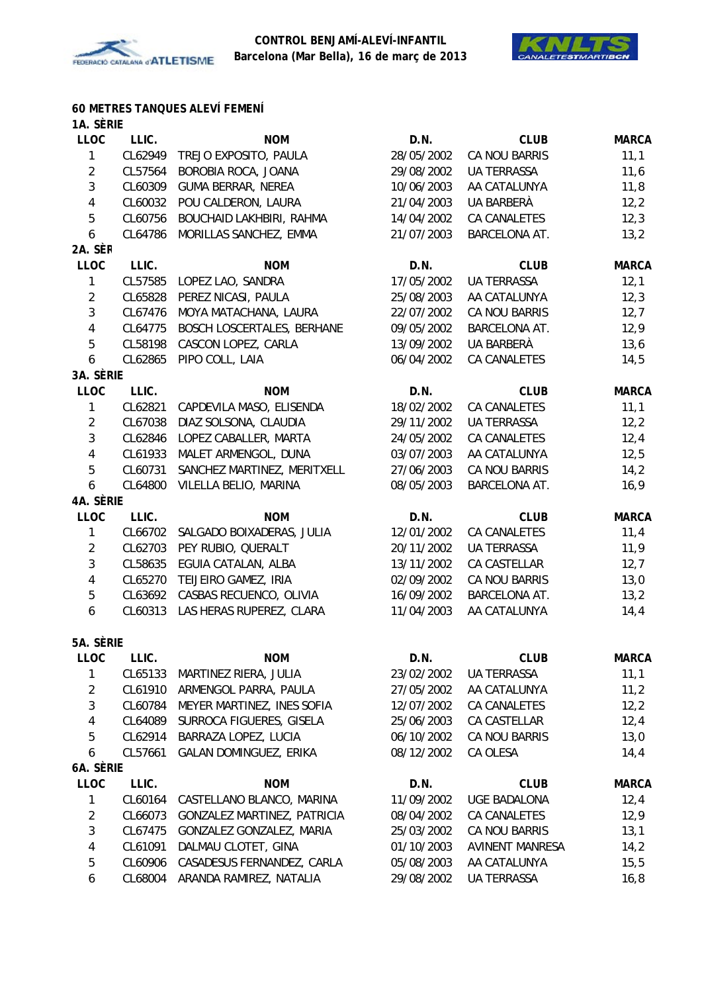



#### **60 METRES TANQUES ALEVÍ FEMENÍ 1A. SÈRIE**

| <b>LLOC</b>    | LLIC.   | <b>NOM</b>                        | D.N.       | <b>CLUB</b>            | <b>MARCA</b> |
|----------------|---------|-----------------------------------|------------|------------------------|--------------|
| $\mathbf{1}$   | CL62949 | TREJO EXPOSITO, PAULA             | 28/05/2002 | CA NOU BARRIS          | 11,1         |
| $\overline{2}$ | CL57564 | BOROBIA ROCA, JOANA               | 29/08/2002 | UA TERRASSA            | 11,6         |
| $\mathfrak{Z}$ | CL60309 | <b>GUMA BERRAR, NEREA</b>         | 10/06/2003 | AA CATALUNYA           | 11,8         |
| $\overline{4}$ | CL60032 | POU CALDERON, LAURA               | 21/04/2003 | UA BARBERÀ             | 12,2         |
| 5              | CL60756 | BOUCHAID LAKHBIRI, RAHMA          | 14/04/2002 | <b>CA CANALETES</b>    | 12,3         |
| 6              | CL64786 | MORILLAS SANCHEZ, EMMA            | 21/07/2003 | BARCELONA AT.          | 13,2         |
| 2A. SÈR        |         |                                   |            |                        |              |
| <b>LLOC</b>    | LLIC.   | <b>NOM</b>                        | D.N.       | <b>CLUB</b>            | <b>MARCA</b> |
| $\mathbf{1}$   | CL57585 | LOPEZ LAO, SANDRA                 | 17/05/2002 | <b>UA TERRASSA</b>     | 12,1         |
| $\overline{2}$ | CL65828 | PEREZ NICASI, PAULA               | 25/08/2003 | AA CATALUNYA           | 12,3         |
| $\mathbf{3}$   | CL67476 | MOYA MATACHANA, LAURA             | 22/07/2002 | CA NOU BARRIS          | 12,7         |
| $\overline{4}$ | CL64775 | <b>BOSCH LOSCERTALES, BERHANE</b> | 09/05/2002 | BARCELONA AT.          | 12,9         |
| 5              | CL58198 | CASCON LOPEZ, CARLA               | 13/09/2002 | UA BARBERÀ             | 13,6         |
| 6              | CL62865 | PIPO COLL, LAIA                   | 06/04/2002 | CA CANALETES           | 14,5         |
| 3A. SÈRIE      |         |                                   |            |                        |              |
| <b>LLOC</b>    | LLIC.   | <b>NOM</b>                        | D.N.       | <b>CLUB</b>            | <b>MARCA</b> |
| $\mathbf{1}$   | CL62821 | CAPDEVILA MASO, ELISENDA          | 18/02/2002 | <b>CA CANALETES</b>    | 11,1         |
| $\overline{2}$ | CL67038 | DIAZ SOLSONA, CLAUDIA             | 29/11/2002 | <b>UA TERRASSA</b>     | 12,2         |
| $\mathbf{3}$   | CL62846 | LOPEZ CABALLER, MARTA             | 24/05/2002 | CA CANALETES           | 12,4         |
| $\overline{4}$ | CL61933 | MALET ARMENGOL, DUNA              | 03/07/2003 | AA CATALUNYA           | 12,5         |
| 5              | CL60731 | SANCHEZ MARTINEZ, MERITXELL       | 27/06/2003 | CA NOU BARRIS          | 14,2         |
| 6              | CL64800 | VILELLA BELIO, MARINA             | 08/05/2003 | BARCELONA AT.          | 16,9         |
| 4A. SÈRIE      |         |                                   |            |                        |              |
| <b>LLOC</b>    | LLIC.   | <b>NOM</b>                        | D.N.       | <b>CLUB</b>            | <b>MARCA</b> |
| $\mathbf{1}$   | CL66702 | SALGADO BOIXADERAS, JULIA         | 12/01/2002 | <b>CA CANALETES</b>    | 11,4         |
| $\overline{2}$ | CL62703 | PEY RUBIO, QUERALT                | 20/11/2002 | <b>UA TERRASSA</b>     | 11,9         |
| $\mathbf{3}$   | CL58635 | EGUIA CATALAN, ALBA               | 13/11/2002 | CA CASTELLAR           | 12,7         |
| $\overline{4}$ | CL65270 | TEIJEIRO GAMEZ, IRIA              | 02/09/2002 | CA NOU BARRIS          | 13,0         |
| 5              | CL63692 | CASBAS RECUENCO, OLIVIA           | 16/09/2002 | BARCELONA AT.          | 13,2         |
| 6              | CL60313 | LAS HERAS RUPEREZ, CLARA          | 11/04/2003 | AA CATALUNYA           | 14, 4        |
|                |         |                                   |            |                        |              |
| 5A. SÈRIE      |         |                                   |            |                        |              |
| LLOC           | LLIC.   | <b>NOM</b>                        | D.N.       | <b>CLUB</b>            | <b>MARCA</b> |
| 1              | CL65133 | MARTINEZ RIERA, JULIA             | 23/02/2002 | UA TERRASSA            | 11,1         |
| $\overline{2}$ | CL61910 | ARMENGOL PARRA, PAULA             | 27/05/2002 | AA CATALUNYA           | 11,2         |
| $\mathbf{3}$   | CL60784 | MEYER MARTINEZ, INES SOFIA        | 12/07/2002 | CA CANALETES           | 12,2         |
| $\overline{4}$ | CL64089 | SURROCA FIGUERES, GISELA          | 25/06/2003 | CA CASTELLAR           | 12,4         |
| 5              | CL62914 | BARRAZA LOPEZ, LUCIA              | 06/10/2002 | CA NOU BARRIS          | 13,0         |
| 6              | CL57661 | GALAN DOMINGUEZ, ERIKA            | 08/12/2002 | CA OLESA               | 14,4         |
| 6A. SÈRIE      |         |                                   |            |                        |              |
| LLOC           | LLIC.   | <b>NOM</b>                        | D.N.       | <b>CLUB</b>            | <b>MARCA</b> |
| 1              | CL60164 | CASTELLANO BLANCO, MARINA         | 11/09/2002 | UGE BADALONA           | 12,4         |
| $\overline{2}$ | CL66073 | GONZALEZ MARTINEZ, PATRICIA       | 08/04/2002 | CA CANALETES           | 12,9         |
| $\mathfrak{Z}$ | CL67475 | GONZALEZ GONZALEZ, MARIA          | 25/03/2002 | CA NOU BARRIS          | 13,1         |
| $\overline{4}$ | CL61091 | DALMAU CLOTET, GINA               | 01/10/2003 | <b>AVINENT MANRESA</b> | 14,2         |
| 5              | CL60906 | CASADESUS FERNANDEZ, CARLA        | 05/08/2003 | AA CATALUNYA           | 15, 5        |
| 6              | CL68004 | ARANDA RAMIREZ, NATALIA           | 29/08/2002 | UA TERRASSA            | 16, 8        |
|                |         |                                   |            |                        |              |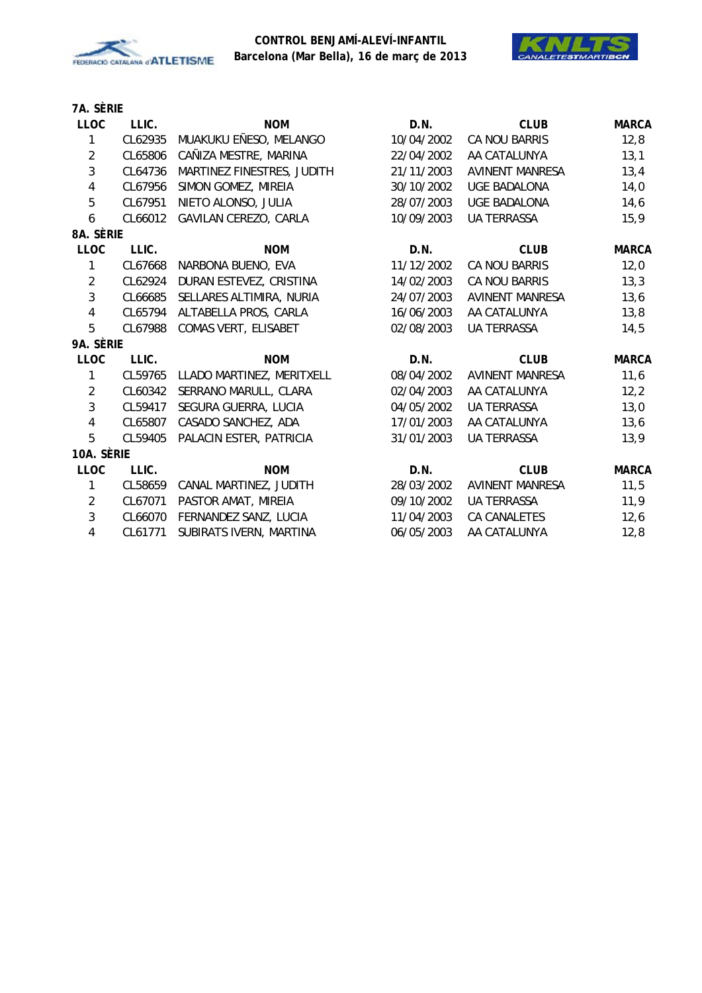



| LLIC.   | <b>NOM</b>                           | D.N.                                                                                 | <b>CLUB</b>            | <b>MARCA</b> |
|---------|--------------------------------------|--------------------------------------------------------------------------------------|------------------------|--------------|
| CL62935 | MUAKUKU EÑESO, MELANGO               | 10/04/2002                                                                           | CA NOU BARRIS          | 12,8         |
| CL65806 | CAÑIZA MESTRE, MARINA                | 22/04/2002                                                                           | AA CATALUNYA           | 13,1         |
| CL64736 | MARTINEZ FINESTRES, JUDITH           | 21/11/2003                                                                           | <b>AVINENT MANRESA</b> | 13,4         |
| CL67956 | SIMON GOMEZ, MIREIA                  | 30/10/2002                                                                           | <b>UGE BADALONA</b>    | 14,0         |
| CL67951 | NIETO ALONSO, JULIA                  | 28/07/2003                                                                           | <b>UGE BADALONA</b>    | 14,6         |
|         | GAVILAN CEREZO, CARLA                | 10/09/2003                                                                           | <b>UA TERRASSA</b>     | 15,9         |
|         |                                      |                                                                                      |                        |              |
| LLIC.   | <b>NOM</b>                           | D.N.                                                                                 | <b>CLUB</b>            | <b>MARCA</b> |
| CL67668 | NARBONA BUENO, EVA                   | 11/12/2002                                                                           | CA NOU BARRIS          | 12,0         |
| CL62924 | DURAN ESTEVEZ, CRISTINA              | 14/02/2003                                                                           | CA NOU BARRIS          | 13,3         |
| CL66685 | SELLARES ALTIMIRA, NURIA             | 24/07/2003                                                                           | <b>AVINENT MANRESA</b> | 13,6         |
|         | ALTABELLA PROS, CARLA                | 16/06/2003                                                                           | AA CATALUNYA           | 13,8         |
|         | COMAS VERT, ELISABET                 | 02/08/2003                                                                           | <b>UA TERRASSA</b>     | 14,5         |
|         |                                      |                                                                                      |                        |              |
| LLIC.   | <b>NOM</b>                           | D.N.                                                                                 | <b>CLUB</b>            | <b>MARCA</b> |
| CL59765 | LLADO MARTINEZ, MERITXELL            | 08/04/2002                                                                           | <b>AVINENT MANRESA</b> | 11,6         |
|         | SERRANO MARULL, CLARA                | 02/04/2003                                                                           | AA CATALUNYA           | 12,2         |
|         | SEGURA GUERRA, LUCIA                 | 04/05/2002                                                                           | <b>UA TERRASSA</b>     | 13,0         |
|         | CASADO SANCHEZ, ADA                  | 17/01/2003                                                                           | AA CATALUNYA           | 13,6         |
|         | PALACIN ESTER, PATRICIA              | 31/01/2003                                                                           | UA TERRASSA            | 13,9         |
|         |                                      |                                                                                      |                        |              |
| LLIC.   | <b>NOM</b>                           | D.N.                                                                                 | <b>CLUB</b>            | <b>MARCA</b> |
|         | CANAL MARTINEZ, JUDITH               | 28/03/2002                                                                           | <b>AVINENT MANRESA</b> | 11,5         |
| CL67071 | PASTOR AMAT, MIREIA                  | 09/10/2002                                                                           | <b>UA TERRASSA</b>     | 11,9         |
| CL66070 | FERNANDEZ SANZ, LUCIA                | 11/04/2003                                                                           | <b>CA CANALETES</b>    | 12,6         |
| CL61771 | SUBIRATS IVERN, MARTINA              | 06/05/2003                                                                           | AA CATALUNYA           | 12,8         |
|         | 8A. SÈRIE<br>9A. SÈRIE<br>10A. SÈRIE | CL66012<br>CL65794<br>CL67988<br>CL60342<br>CL59417<br>CL65807<br>CL59405<br>CL58659 |                        |              |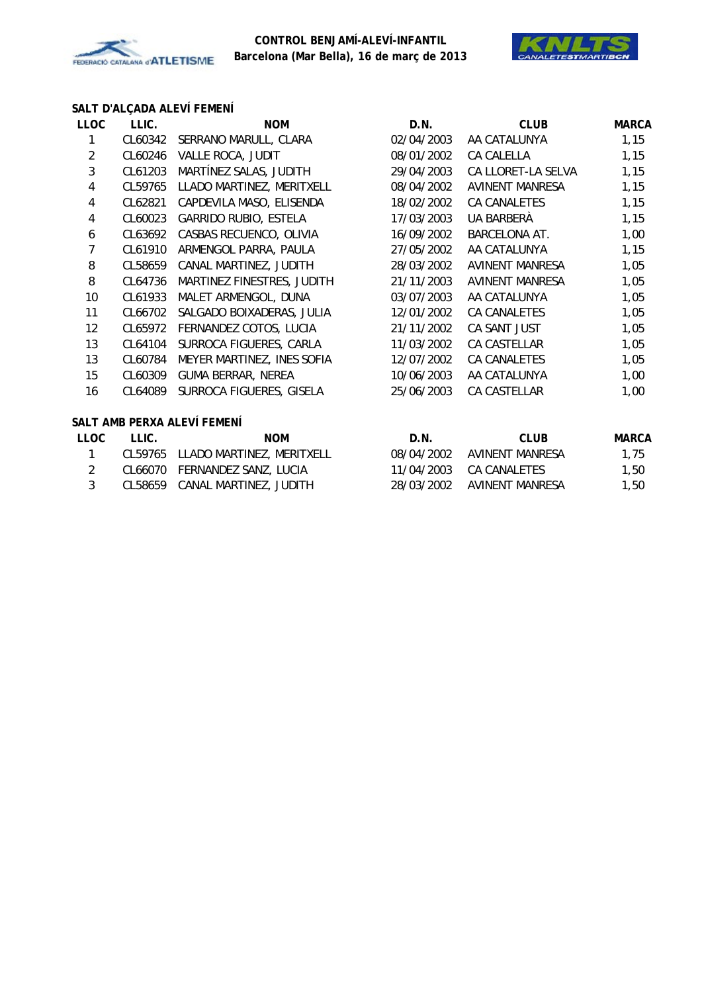



# **SALT D'ALÇADA ALEVÍ FEMENÍ**

| <b>LLOC</b>             | LLIC.   | <b>NOM</b>                     | D.N.       | <b>CLUB</b>            | <b>MARCA</b> |
|-------------------------|---------|--------------------------------|------------|------------------------|--------------|
| 1                       | CL60342 | SERRANO MARULL, CLARA          | 02/04/2003 | AA CATALUNYA           | 1,15         |
| $\overline{2}$          | CL60246 | VALLE ROCA, JUDIT              | 08/01/2002 | CA CALELLA             | 1,15         |
| $\mathfrak{Z}$          | CL61203 | MARTÍNEZ SALAS, JUDITH         | 29/04/2003 | CA LLORET-LA SELVA     | 1,15         |
| $\overline{4}$          | CL59765 | LLADO MARTINEZ, MERITXELL      | 08/04/2002 | <b>AVINENT MANRESA</b> | 1,15         |
| 4                       | CL62821 | CAPDEVILA MASO, ELISENDA       | 18/02/2002 | CA CANALETES           | 1,15         |
| $\overline{\mathbf{4}}$ | CL60023 | GARRIDO RUBIO, ESTELA          | 17/03/2003 | UA BARBERÀ             | 1,15         |
| 6                       | CL63692 | CASBAS RECUENCO, OLIVIA        | 16/09/2002 | <b>BARCELONA AT.</b>   | 1,00         |
| $\overline{7}$          | CL61910 | ARMENGOL PARRA, PAULA          | 27/05/2002 | AA CATALUNYA           | 1,15         |
| 8                       | CL58659 | CANAL MARTINEZ, JUDITH         | 28/03/2002 | <b>AVINENT MANRESA</b> | 1,05         |
| 8                       | CL64736 | MARTINEZ FINESTRES, JUDITH     | 21/11/2003 | AVINENT MANRESA        | 1,05         |
| 10                      | CL61933 | MALET ARMENGOL, DUNA           | 03/07/2003 | AA CATALUNYA           | 1,05         |
| 11                      | CL66702 | SALGADO BOIXADERAS, JULIA      | 12/01/2002 | CA CANALETES           | 1,05         |
| 12                      |         | CL65972 FERNANDEZ COTOS, LUCIA | 21/11/2002 | CA SANT JUST           | 1,05         |
| 13                      | CL64104 | SURROCA FIGUERES, CARLA        | 11/03/2002 | CA CASTELLAR           | 1,05         |
| 13                      | CL60784 | MEYER MARTINEZ, INES SOFIA     | 12/07/2002 | CA CANALETES           | 1,05         |
| 15                      | CL60309 | <b>GUMA BERRAR, NEREA</b>      | 10/06/2003 | AA CATALUNYA           | 1,00         |
| 16                      | CL64089 | SURROCA FIGUERES, GISELA       | 25/06/2003 | CA CASTELLAR           | 1,00         |
|                         |         | SALT AMB PERXA ALEVÍ FEMENÍ    |            |                        |              |
| <b>LLOC</b>             | LLIC.   | <b>NOM</b>                     | D.N.       | <b>CLUB</b>            | <b>MARCA</b> |
| 1                       | CL59765 | LLADO MARTINEZ, MERITXELL      | 08/04/2002 | <b>AVINENT MANRESA</b> | 1,75         |
| $\overline{2}$          |         | CL66070 FERNANDEZ SANZ, LUCIA  | 11/04/2003 | CA CANALETES           | 1,50         |

3 CL58659 CANAL MARTINEZ, JUDITH 28/03/2002 AVINENT MANRESA 1,50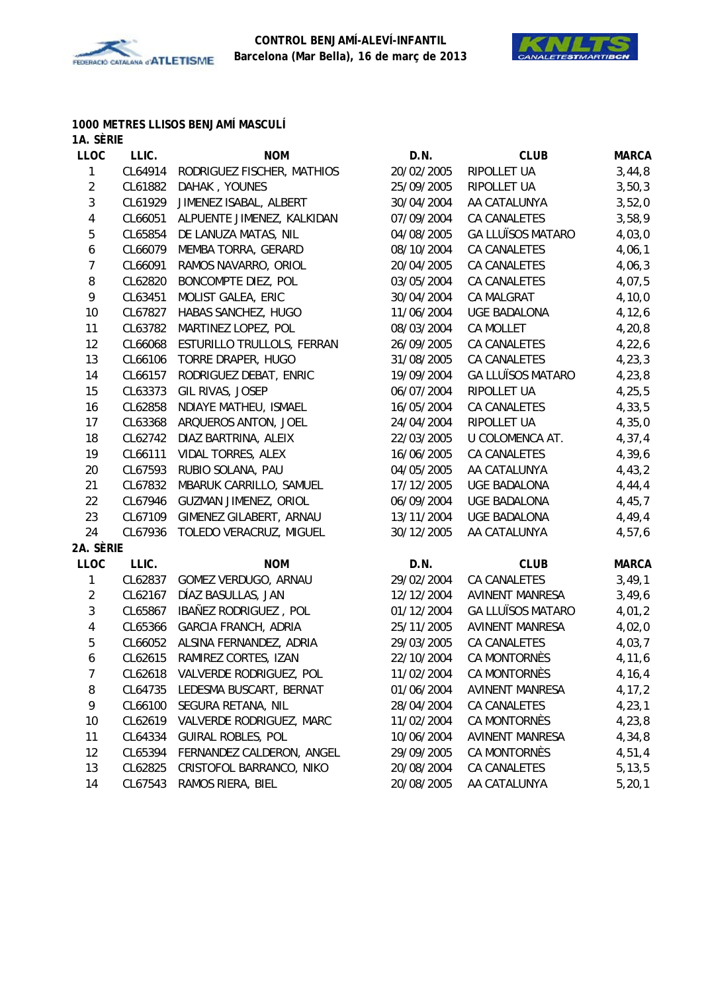



#### **1000 METRES LLISOS BENJAMÍ MASCULÍ 1A. SÈRIE**

| 17 1. VLIVIL |                              |                                                                                                                                                                                            |                                                |                                                                                                     |
|--------------|------------------------------|--------------------------------------------------------------------------------------------------------------------------------------------------------------------------------------------|------------------------------------------------|-----------------------------------------------------------------------------------------------------|
|              |                              |                                                                                                                                                                                            |                                                | <b>MARCA</b>                                                                                        |
|              |                              |                                                                                                                                                                                            |                                                | 3,44,8                                                                                              |
| CL61882      | DAHAK, YOUNES                |                                                                                                                                                                                            |                                                | 3,50,3                                                                                              |
|              |                              |                                                                                                                                                                                            |                                                | 3,52,0                                                                                              |
| CL66051      |                              | 07/09/2004                                                                                                                                                                                 | CA CANALETES                                   | 3,58,9                                                                                              |
| CL65854      | DE LANUZA MATAS, NIL         | 04/08/2005                                                                                                                                                                                 | <b>GA LLUÏSOS MATARO</b>                       | 4,03,0                                                                                              |
| CL66079      | MEMBA TORRA, GERARD          | 08/10/2004                                                                                                                                                                                 | CA CANALETES                                   | 4,06,1                                                                                              |
| CL66091      | RAMOS NAVARRO, ORIOL         | 20/04/2005                                                                                                                                                                                 | CA CANALETES                                   | 4,06,3                                                                                              |
| CL62820      | BONCOMPTE DIEZ, POL          | 03/05/2004                                                                                                                                                                                 | CA CANALETES                                   | 4,07,5                                                                                              |
| CL63451      | MOLIST GALEA, ERIC           | 30/04/2004                                                                                                                                                                                 | CA MALGRAT                                     | 4, 10, 0                                                                                            |
| CL67827      | HABAS SANCHEZ, HUGO          | 11/06/2004                                                                                                                                                                                 | <b>UGE BADALONA</b>                            | 4, 12, 6                                                                                            |
| CL63782      | MARTINEZ LOPEZ, POL          | 08/03/2004                                                                                                                                                                                 | CA MOLLET                                      | 4,20,8                                                                                              |
| CL66068      | ESTURILLO TRULLOLS, FERRAN   | 26/09/2005                                                                                                                                                                                 | CA CANALETES                                   | 4,22,6                                                                                              |
| CL66106      | TORRE DRAPER, HUGO           | 31/08/2005                                                                                                                                                                                 | CA CANALETES                                   | 4, 23, 3                                                                                            |
| CL66157      | RODRIGUEZ DEBAT, ENRIC       | 19/09/2004                                                                                                                                                                                 | <b>GA LLUÏSOS MATARO</b>                       | 4,23,8                                                                                              |
| CL63373      | GIL RIVAS, JOSEP             | 06/07/2004                                                                                                                                                                                 | RIPOLLET UA                                    | 4, 25, 5                                                                                            |
| CL62858      | NDIAYE MATHEU, ISMAEL        | 16/05/2004                                                                                                                                                                                 | CA CANALETES                                   | 4, 33, 5                                                                                            |
| CL63368      | ARQUEROS ANTON, JOEL         | 24/04/2004                                                                                                                                                                                 | RIPOLLET UA                                    | 4,35,0                                                                                              |
| CL62742      | DIAZ BARTRINA, ALEIX         | 22/03/2005                                                                                                                                                                                 | U COLOMENCA AT.                                | 4, 37, 4                                                                                            |
| CL66111      | VIDAL TORRES, ALEX           | 16/06/2005                                                                                                                                                                                 | CA CANALETES                                   | 4,39,6                                                                                              |
| CL67593      | RUBIO SOLANA, PAU            | 04/05/2005                                                                                                                                                                                 | AA CATALUNYA                                   | 4,43,2                                                                                              |
| CL67832      | MBARUK CARRILLO, SAMUEL      | 17/12/2005                                                                                                                                                                                 | UGE BADALONA                                   | 4, 44, 4                                                                                            |
| CL67946      | <b>GUZMAN JIMENEZ, ORIOL</b> | 06/09/2004                                                                                                                                                                                 | UGE BADALONA                                   | 4,45,7                                                                                              |
|              | GIMENEZ GILABERT, ARNAU      | 13/11/2004                                                                                                                                                                                 | <b>UGE BADALONA</b>                            | 4,49,4                                                                                              |
| CL67936      | TOLEDO VERACRUZ, MIGUEL      | 30/12/2005                                                                                                                                                                                 | AA CATALUNYA                                   | 4,57,6                                                                                              |
| 2A. SÈRIE    |                              |                                                                                                                                                                                            |                                                |                                                                                                     |
| LLIC.        | <b>NOM</b>                   | D.N.                                                                                                                                                                                       | <b>CLUB</b>                                    | <b>MARCA</b>                                                                                        |
|              | GOMEZ VERDUGO, ARNAU         | 29/02/2004                                                                                                                                                                                 | CA CANALETES                                   | 3,49,1                                                                                              |
| CL62167      | DÍAZ BASULLAS, JAN           | 12/12/2004                                                                                                                                                                                 | AVINENT MANRESA                                | 3,49,6                                                                                              |
| CL65867      | IBAÑEZ RODRIGUEZ, POL        | 01/12/2004                                                                                                                                                                                 | <b>GA LLUÏSOS MATARO</b>                       | 4,01,2                                                                                              |
| CL65366      | <b>GARCIA FRANCH, ADRIA</b>  | 25/11/2005                                                                                                                                                                                 | <b>AVINENT MANRESA</b>                         | 4,02,0                                                                                              |
|              | ALSINA FERNANDEZ, ADRIA      | 29/03/2005                                                                                                                                                                                 | CA CANALETES                                   | 4,03,7                                                                                              |
|              | RAMIREZ CORTES, IZAN         | 22/10/2004                                                                                                                                                                                 | CA MONTORNÈS                                   | 4,11,6                                                                                              |
|              |                              | 11/02/2004                                                                                                                                                                                 |                                                | 4, 16, 4                                                                                            |
| CL64735      | LEDESMA BUSCART, BERNAT      | 01/06/2004                                                                                                                                                                                 |                                                | 4, 17, 2                                                                                            |
| CL66100      | SEGURA RETANA, NIL           | 28/04/2004                                                                                                                                                                                 | CA CANALETES                                   | 4, 23, 1                                                                                            |
| CL62619      | VALVERDE RODRIGUEZ, MARC     | 11/02/2004                                                                                                                                                                                 | CA MONTORNÈS                                   | 4,23,8                                                                                              |
| CL64334      | <b>GUIRAL ROBLES, POL</b>    | 10/06/2004                                                                                                                                                                                 | <b>AVINENT MANRESA</b>                         | 4,34,8                                                                                              |
| CL65394      | FERNANDEZ CALDERON, ANGEL    | 29/09/2005                                                                                                                                                                                 | <b>CA MONTORNÈS</b>                            | 4,51,4                                                                                              |
| CL62825      | CRISTOFOL BARRANCO, NIKO     | 20/08/2004                                                                                                                                                                                 | CA CANALETES                                   | 5, 13, 5                                                                                            |
| CL67543      | RAMOS RIERA, BIEL            | 20/08/2005                                                                                                                                                                                 | AA CATALUNYA                                   | 5, 20, 1                                                                                            |
|              | LLIC.<br>CL61929             | <b>NOM</b><br>CL64914<br>RODRIGUEZ FISCHER, MATHIOS<br>JIMENEZ ISABAL, ALBERT<br>ALPUENTE JIMENEZ, KALKIDAN<br>CL67109<br>CL62837<br>CL66052<br>CL62615<br>CL62618 VALVERDE RODRIGUEZ, POL | D.N.<br>20/02/2005<br>25/09/2005<br>30/04/2004 | <b>CLUB</b><br>RIPOLLET UA<br>RIPOLLET UA<br>AA CATALUNYA<br>CA MONTORNÈS<br><b>AVINENT MANRESA</b> |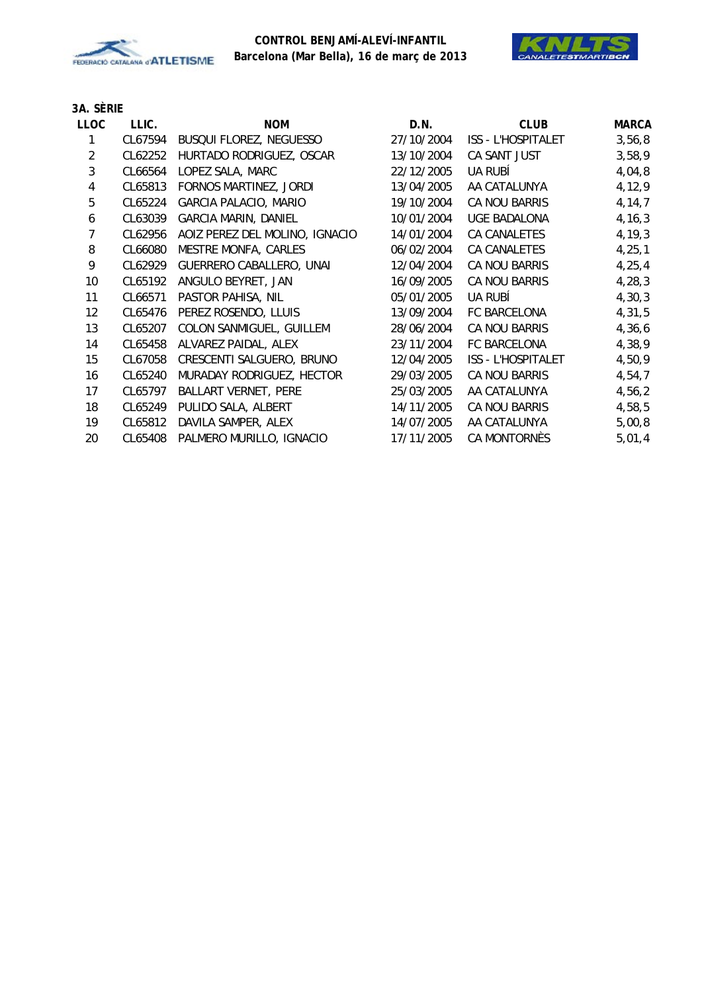



| LLOC | LLIC.   | <b>NOM</b>                     | D.N.       | <b>CLUB</b>               | <b>MARCA</b> |
|------|---------|--------------------------------|------------|---------------------------|--------------|
|      | CL67594 | BUSQUI FLOREZ, NEGUESSO        | 27/10/2004 | <b>ISS - L'HOSPITALET</b> | 3,56,8       |
| 2    | CL62252 | HURTADO RODRIGUEZ, OSCAR       | 13/10/2004 | CA SANT JUST              | 3,58,9       |
| 3    | CL66564 | LOPEZ SALA, MARC               | 22/12/2005 | UA RUBÍ                   | 4,04,8       |
| 4    | CL65813 | FORNOS MARTINEZ, JORDI         | 13/04/2005 | AA CATALUNYA              | 4,12,9       |
| 5    | CL65224 | <b>GARCIA PALACIO, MARIO</b>   | 19/10/2004 | CA NOU BARRIS             | 4, 14, 7     |
| 6    | CL63039 | <b>GARCIA MARIN, DANIEL</b>    | 10/01/2004 | <b>UGE BADALONA</b>       | 4, 16, 3     |
| 7    | CL62956 | AOIZ PEREZ DEL MOLINO, IGNACIO | 14/01/2004 | CA CANALETES              | 4, 19, 3     |
| 8    | CL66080 | MESTRE MONFA, CARLES           | 06/02/2004 | <b>CA CANALETES</b>       | 4, 25, 1     |
| 9    | CL62929 | GUERRERO CABALLERO, UNAI       | 12/04/2004 | CA NOU BARRIS             | 4, 25, 4     |
| 10   | CL65192 | ANGULO BEYRET, JAN             | 16/09/2005 | CA NOU BARRIS             | 4, 28, 3     |
| 11   | CL66571 | PASTOR PAHISA, NIL             | 05/01/2005 | <b>UA RUBÍ</b>            | 4, 30, 3     |
| 12   | CL65476 | PEREZ ROSENDO, LLUIS           | 13/09/2004 | FC BARCELONA              | 4,31,5       |
| 13   | CL65207 | COLON SANMIGUEL, GUILLEM       | 28/06/2004 | CA NOU BARRIS             | 4,36,6       |
| 14   | CL65458 | ALVAREZ PAIDAL, ALEX           | 23/11/2004 | <b>FC BARCELONA</b>       | 4,38,9       |
| 15   | CL67058 | CRESCENTI SALGUERO, BRUNO      | 12/04/2005 | <b>ISS - L'HOSPITALET</b> | 4,50,9       |
| 16   | CL65240 | MURADAY RODRIGUEZ, HECTOR      | 29/03/2005 | CA NOU BARRIS             | 4,54,7       |
| 17   | CL65797 | <b>BALLART VERNET, PERE</b>    | 25/03/2005 | AA CATALUNYA              | 4,56,2       |
| 18   | CL65249 | PULIDO SALA, ALBERT            | 14/11/2005 | CA NOU BARRIS             | 4,58,5       |
| 19   | CL65812 | DAVILA SAMPER, ALEX            | 14/07/2005 | AA CATALUNYA              | 5,00,8       |
| 20   | CL65408 | PALMERO MURILLO, IGNACIO       | 17/11/2005 | CA MONTORNÈS              | 5,01,4       |
|      |         |                                |            |                           |              |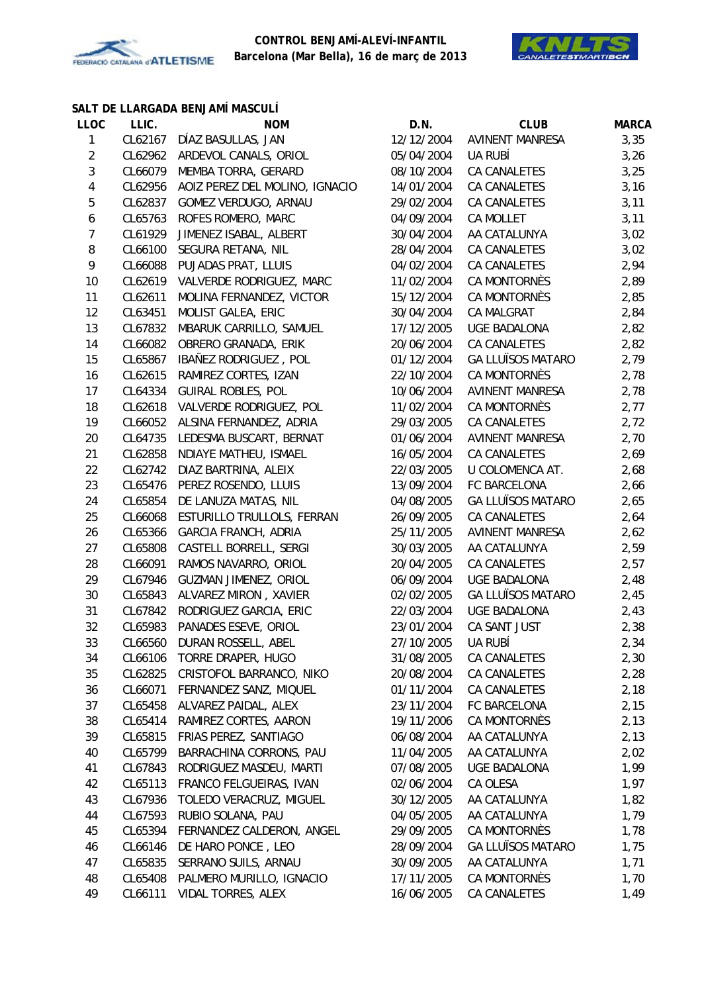



#### **SALT DE LLARGADA BENJAMÍ MASCULÍ**

| <b>LLOC</b>    | LLIC.   | <b>NOM</b>                       | D.N.                     | <b>CLUB</b>                  | <b>MARCA</b> |
|----------------|---------|----------------------------------|--------------------------|------------------------------|--------------|
| $\mathbf{1}$   | CL62167 | DÍAZ BASULLAS, JAN               | 12/12/2004               | <b>AVINENT MANRESA</b>       | 3,35         |
| $\overline{c}$ | CL62962 | ARDEVOL CANALS, ORIOL            | 05/04/2004               | UA RUBÍ                      | 3,26         |
| 3              | CL66079 | MEMBA TORRA, GERARD              | 08/10/2004               | CA CANALETES                 | 3,25         |
| $\overline{4}$ | CL62956 | AOIZ PEREZ DEL MOLINO, IGNACIO   | 14/01/2004               | CA CANALETES                 | 3,16         |
| 5              | CL62837 | GOMEZ VERDUGO, ARNAU             | 29/02/2004               | CA CANALETES                 | 3,11         |
| 6              | CL65763 | ROFES ROMERO, MARC               | 04/09/2004               | <b>CA MOLLET</b>             | 3,11         |
| $\overline{7}$ | CL61929 | JIMENEZ ISABAL, ALBERT           | 30/04/2004               | AA CATALUNYA                 | 3,02         |
| 8              | CL66100 | SEGURA RETANA, NIL               | 28/04/2004               | CA CANALETES                 | 3,02         |
| 9              | CL66088 | PUJADAS PRAT, LLUIS              | 04/02/2004               | CA CANALETES                 | 2,94         |
| 10             | CL62619 | VALVERDE RODRIGUEZ, MARC         | 11/02/2004               | CA MONTORNÈS                 | 2,89         |
| 11             | CL62611 | MOLINA FERNANDEZ, VICTOR         | 15/12/2004               | CA MONTORNÈS                 | 2,85         |
| 12             | CL63451 | MOLIST GALEA, ERIC               | 30/04/2004               | CA MALGRAT                   | 2,84         |
| 13             | CL67832 | MBARUK CARRILLO, SAMUEL          | 17/12/2005               | <b>UGE BADALONA</b>          | 2,82         |
| 14             | CL66082 | OBRERO GRANADA, ERIK             | 20/06/2004               | CA CANALETES                 | 2,82         |
| 15             | CL65867 | IBAÑEZ RODRIGUEZ, POL            | 01/12/2004               | <b>GA LLUÏSOS MATARO</b>     | 2,79         |
| 16             | CL62615 | RAMIREZ CORTES, IZAN             | 22/10/2004               | CA MONTORNÈS                 | 2,78         |
| 17             | CL64334 | <b>GUIRAL ROBLES, POL</b>        | 10/06/2004               | <b>AVINENT MANRESA</b>       | 2,78         |
| 18             | CL62618 | VALVERDE RODRIGUEZ, POL          | 11/02/2004               | CA MONTORNÈS                 | 2,77         |
| 19             | CL66052 | ALSINA FERNANDEZ, ADRIA          | 29/03/2005               | CA CANALETES                 | 2,72         |
| 20             | CL64735 | LEDESMA BUSCART, BERNAT          | 01/06/2004               | <b>AVINENT MANRESA</b>       | 2,70         |
| 21             | CL62858 | NDIAYE MATHEU, ISMAEL            | 16/05/2004               | CA CANALETES                 | 2,69         |
| 22             | CL62742 | DIAZ BARTRINA, ALEIX             | 22/03/2005               | U COLOMENCA AT.              | 2,68         |
| 23             | CL65476 | PEREZ ROSENDO, LLUIS             | 13/09/2004               | FC BARCELONA                 | 2,66         |
| 24             | CL65854 | DE LANUZA MATAS, NIL             | 04/08/2005               | <b>GA LLUÏSOS MATARO</b>     | 2,65         |
| 25             | CL66068 | ESTURILLO TRULLOLS, FERRAN       | 26/09/2005               | <b>CA CANALETES</b>          | 2,64         |
| 26             | CL65366 | <b>GARCIA FRANCH, ADRIA</b>      | 25/11/2005               | <b>AVINENT MANRESA</b>       | 2,62         |
| 27             | CL65808 | CASTELL BORRELL, SERGI           | 30/03/2005               | AA CATALUNYA                 | 2,59         |
| 28             | CL66091 | RAMOS NAVARRO, ORIOL             | 20/04/2005               | CA CANALETES                 | 2,57         |
| 29             | CL67946 | GUZMAN JIMENEZ, ORIOL            | 06/09/2004               | <b>UGE BADALONA</b>          | 2,48         |
| 30             | CL65843 | ALVAREZ MIRON, XAVIER            | 02/02/2005               | <b>GA LLUÏSOS MATARO</b>     | 2,45         |
| 31             | CL67842 | RODRIGUEZ GARCIA, ERIC           | 22/03/2004               | <b>UGE BADALONA</b>          | 2,43         |
| 32             | CL65983 | PANADES ESEVE, ORIOL             | 23/01/2004               | CA SANT JUST                 | 2,38         |
| 33             | CL66560 | DURAN ROSSELL, ABEL              | 27/10/2005               | UA RUBÍ                      | 2,34         |
| 34             |         | CL66106 TORRE DRAPER, HUGO       | 31/08/2005               | CA CANALETES                 | 2,30         |
| 35             |         | CL62825 CRISTOFOL BARRANCO, NIKO | 20/08/2004               | CA CANALETES                 | 2,28         |
| 36             | CL66071 | FERNANDEZ SANZ, MIQUEL           | 01/11/2004               | CA CANALETES                 | 2,18         |
| 37             | CL65458 |                                  |                          | FC BARCELONA                 |              |
|                |         | ALVAREZ PAIDAL, ALEX             | 23/11/2004               |                              | 2,15         |
| 38             | CL65414 | RAMIREZ CORTES, AARON            | 19/11/2006<br>06/08/2004 | CA MONTORNÈS<br>AA CATALUNYA | 2,13         |
| 39             | CL65815 | FRIAS PEREZ, SANTIAGO            |                          |                              | 2,13         |
| 40             | CL65799 | BARRACHINA CORRONS, PAU          | 11/04/2005               | AA CATALUNYA                 | 2,02         |
| 41             | CL67843 | RODRIGUEZ MASDEU, MARTI          | 07/08/2005               | <b>UGE BADALONA</b>          | 1,99         |
| 42             | CL65113 | FRANCO FELGUEIRAS, IVAN          | 02/06/2004               | CA OLESA                     | 1,97         |
| 43             | CL67936 | TOLEDO VERACRUZ, MIGUEL          | 30/12/2005               | AA CATALUNYA                 | 1,82         |
| 44             | CL67593 | RUBIO SOLANA, PAU                | 04/05/2005               | AA CATALUNYA                 | 1,79         |
| 45             | CL65394 | FERNANDEZ CALDERON, ANGEL        | 29/09/2005               | CA MONTORNÈS                 | 1,78         |
| 46             | CL66146 | DE HARO PONCE, LEO               | 28/09/2004               | <b>GA LLUÏSOS MATARO</b>     | 1,75         |
| 47             | CL65835 | SERRANO SUILS, ARNAU             | 30/09/2005               | AA CATALUNYA                 | 1,71         |
| 48             | CL65408 | PALMERO MURILLO, IGNACIO         | 17/11/2005               | CA MONTORNÈS                 | 1,70         |
| 49             | CL66111 | VIDAL TORRES, ALEX               | 16/06/2005               | CA CANALETES                 | 1,49         |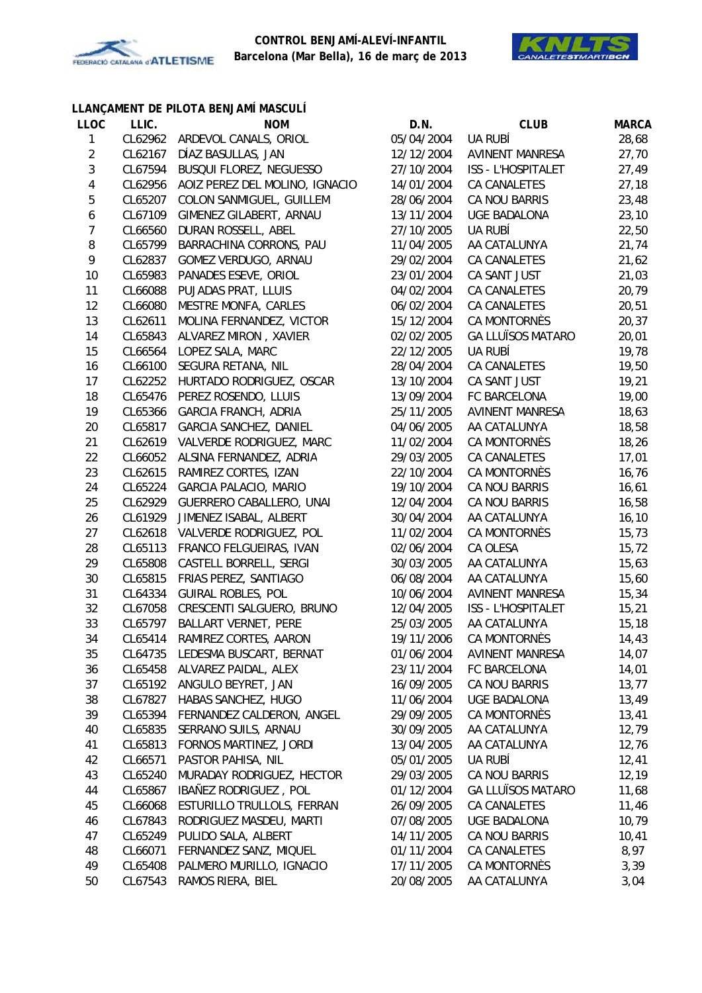



# **LLANÇAMENT DE PILOTA BENJAMÍ MASCULÍ**

| <b>LLOC</b>      | LLIC.   | <b>NOM</b>                     | D.N.       | <b>CLUB</b>              | <b>MARCA</b> |
|------------------|---------|--------------------------------|------------|--------------------------|--------------|
| $\mathbf{1}$     | CL62962 | ARDEVOL CANALS, ORIOL          | 05/04/2004 | UA RUBÍ                  | 28,68        |
| $\overline{c}$   | CL62167 | DÍAZ BASULLAS, JAN             | 12/12/2004 | <b>AVINENT MANRESA</b>   | 27,70        |
| 3                | CL67594 | BUSQUI FLOREZ, NEGUESSO        | 27/10/2004 | ISS - L'HOSPITALET       | 27,49        |
| 4                | CL62956 | AOIZ PEREZ DEL MOLINO, IGNACIO | 14/01/2004 | CA CANALETES             | 27,18        |
| 5                | CL65207 | COLON SANMIGUEL, GUILLEM       | 28/06/2004 | CA NOU BARRIS            | 23,48        |
| 6                | CL67109 | GIMENEZ GILABERT, ARNAU        | 13/11/2004 | <b>UGE BADALONA</b>      | 23,10        |
| $\boldsymbol{7}$ | CL66560 | DURAN ROSSELL, ABEL            | 27/10/2005 | UA RUBÍ                  | 22,50        |
| $\, 8$           | CL65799 | BARRACHINA CORRONS, PAU        | 11/04/2005 | AA CATALUNYA             | 21,74        |
| 9                | CL62837 | GOMEZ VERDUGO, ARNAU           | 29/02/2004 | CA CANALETES             | 21,62        |
| 10               | CL65983 | PANADES ESEVE, ORIOL           | 23/01/2004 | CA SANT JUST             | 21,03        |
| 11               | CL66088 | PUJADAS PRAT, LLUIS            | 04/02/2004 | CA CANALETES             | 20,79        |
| 12               | CL66080 | MESTRE MONFA, CARLES           | 06/02/2004 | CA CANALETES             | 20,51        |
| 13               | CL62611 | MOLINA FERNANDEZ, VICTOR       | 15/12/2004 | CA MONTORNÈS             | 20,37        |
| 14               | CL65843 | ALVAREZ MIRON, XAVIER          | 02/02/2005 | <b>GA LLUÏSOS MATARO</b> | 20,01        |
| 15               | CL66564 | LOPEZ SALA, MARC               | 22/12/2005 | UA RUBÍ                  | 19,78        |
| 16               | CL66100 | SEGURA RETANA, NIL             | 28/04/2004 | CA CANALETES             | 19,50        |
| 17               | CL62252 | HURTADO RODRIGUEZ, OSCAR       | 13/10/2004 | CA SANT JUST             | 19,21        |
| 18               | CL65476 | PEREZ ROSENDO, LLUIS           | 13/09/2004 | FC BARCELONA             | 19,00        |
| 19               | CL65366 | <b>GARCIA FRANCH, ADRIA</b>    | 25/11/2005 | <b>AVINENT MANRESA</b>   | 18,63        |
| 20               | CL65817 | GARCIA SANCHEZ, DANIEL         | 04/06/2005 | AA CATALUNYA             | 18,58        |
| 21               | CL62619 | VALVERDE RODRIGUEZ, MARC       | 11/02/2004 | CA MONTORNÈS             | 18,26        |
| 22               | CL66052 | ALSINA FERNANDEZ, ADRIA        | 29/03/2005 | CA CANALETES             | 17,01        |
| 23               | CL62615 | RAMIREZ CORTES, IZAN           | 22/10/2004 | CA MONTORNÈS             | 16,76        |
| 24               | CL65224 | <b>GARCIA PALACIO, MARIO</b>   | 19/10/2004 | CA NOU BARRIS            | 16,61        |
| 25               | CL62929 | GUERRERO CABALLERO, UNAI       | 12/04/2004 | CA NOU BARRIS            | 16,58        |
| 26               | CL61929 | JIMENEZ ISABAL, ALBERT         | 30/04/2004 | AA CATALUNYA             | 16, 10       |
| 27               | CL62618 | VALVERDE RODRIGUEZ, POL        | 11/02/2004 | CA MONTORNÈS             | 15,73        |
| 28               | CL65113 | FRANCO FELGUEIRAS, IVAN        | 02/06/2004 | CA OLESA                 | 15, 72       |
| 29               | CL65808 | CASTELL BORRELL, SERGI         | 30/03/2005 | AA CATALUNYA             | 15,63        |
| 30               | CL65815 | FRIAS PEREZ, SANTIAGO          | 06/08/2004 | AA CATALUNYA             | 15,60        |
| 31               | CL64334 | <b>GUIRAL ROBLES, POL</b>      | 10/06/2004 | <b>AVINENT MANRESA</b>   | 15, 34       |
| 32               | CL67058 | CRESCENTI SALGUERO, BRUNO      | 12/04/2005 | ISS - L'HOSPITALET       | 15,21        |
| 33               | CL65797 | <b>BALLART VERNET, PERE</b>    | 25/03/2005 | AA CATALUNYA             | 15, 18       |
| 34               | CL65414 | RAMIREZ CORTES, AARON          | 19/11/2006 | <b>CA MONTORNÈS</b>      | 14,43        |
| 35               | CL64735 | LEDESMA BUSCART, BERNAT        | 01/06/2004 | <b>AVINENT MANRESA</b>   | 14,07        |
| 36               | CL65458 | ALVAREZ PAIDAL, ALEX           | 23/11/2004 | FC BARCELONA             | 14,01        |
| 37               | CL65192 | ANGULO BEYRET, JAN             | 16/09/2005 | CA NOU BARRIS            | 13,77        |
| 38               | CL67827 | HABAS SANCHEZ, HUGO            | 11/06/2004 | <b>UGE BADALONA</b>      | 13,49        |
| 39               | CL65394 | FERNANDEZ CALDERON, ANGEL      | 29/09/2005 | CA MONTORNÈS             | 13,41        |
| 40               | CL65835 | SERRANO SUILS, ARNAU           | 30/09/2005 | AA CATALUNYA             | 12,79        |
| 41               | CL65813 | FORNOS MARTINEZ, JORDI         | 13/04/2005 | AA CATALUNYA             | 12,76        |
| 42               | CL66571 | PASTOR PAHISA, NIL             | 05/01/2005 | UA RUBÍ                  | 12,41        |
| 43               | CL65240 | MURADAY RODRIGUEZ, HECTOR      | 29/03/2005 | CA NOU BARRIS            | 12,19        |
| 44               | CL65867 | IBAÑEZ RODRIGUEZ, POL          | 01/12/2004 | <b>GA LLUÏSOS MATARO</b> | 11,68        |
| 45               | CL66068 | ESTURILLO TRULLOLS, FERRAN     | 26/09/2005 | CA CANALETES             | 11,46        |
| 46               | CL67843 | RODRIGUEZ MASDEU, MARTI        | 07/08/2005 | <b>UGE BADALONA</b>      | 10,79        |
| 47               | CL65249 | PULIDO SALA, ALBERT            | 14/11/2005 | CA NOU BARRIS            | 10,41        |
| 48               | CL66071 | FERNANDEZ SANZ, MIQUEL         | 01/11/2004 | CA CANALETES             | 8,97         |
| 49               | CL65408 | PALMERO MURILLO, IGNACIO       | 17/11/2005 | CA MONTORNÈS             | 3,39         |
| 50               | CL67543 | RAMOS RIERA, BIEL              | 20/08/2005 | AA CATALUNYA             | 3,04         |
|                  |         |                                |            |                          |              |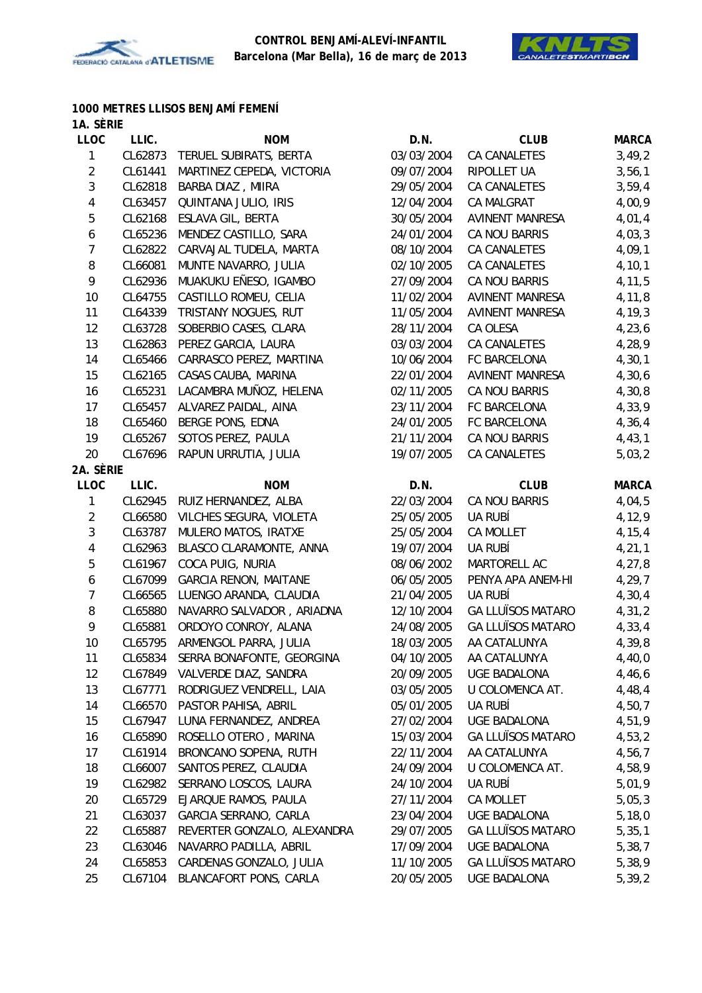



#### **1000 METRES LLISOS BENJAMÍ FEMENÍ 1A. SÈRIE**

| <b>LLOC</b>             | LLIC.   | <b>NOM</b>                        | D.N.       | <b>CLUB</b>              | <b>MARCA</b> |
|-------------------------|---------|-----------------------------------|------------|--------------------------|--------------|
| 1                       | CL62873 | TERUEL SUBIRATS, BERTA            | 03/03/2004 | CA CANALETES             | 3,49,2       |
| $\overline{2}$          | CL61441 | MARTINEZ CEPEDA, VICTORIA         | 09/07/2004 | RIPOLLET UA              | 3,56,1       |
| 3                       | CL62818 | BARBA DIAZ, MIIRA                 | 29/05/2004 | CA CANALETES             | 3,59,4       |
| 4                       | CL63457 | QUINTANA JULIO, IRIS              | 12/04/2004 | CA MALGRAT               | 4,00,9       |
| 5                       | CL62168 | ESLAVA GIL, BERTA                 | 30/05/2004 | <b>AVINENT MANRESA</b>   | 4,01,4       |
| 6                       | CL65236 | MENDEZ CASTILLO, SARA             | 24/01/2004 | CA NOU BARRIS            | 4,03,3       |
| $\overline{7}$          | CL62822 | CARVAJAL TUDELA, MARTA            | 08/10/2004 | <b>CA CANALETES</b>      | 4,09,1       |
| 8                       | CL66081 | MUNTE NAVARRO, JULIA              | 02/10/2005 | CA CANALETES             | 4, 10, 1     |
| 9                       | CL62936 | MUAKUKU EÑESO, IGAMBO             | 27/09/2004 | CA NOU BARRIS            | 4, 11, 5     |
| 10                      | CL64755 | CASTILLO ROMEU, CELIA             | 11/02/2004 | <b>AVINENT MANRESA</b>   | 4,11,8       |
| 11                      | CL64339 | TRISTANY NOGUES, RUT              | 11/05/2004 | <b>AVINENT MANRESA</b>   | 4,19,3       |
| 12                      | CL63728 | SOBERBIO CASES, CLARA             | 28/11/2004 | CA OLESA                 | 4,23,6       |
| 13                      | CL62863 | PEREZ GARCIA, LAURA               | 03/03/2004 | CA CANALETES             | 4,28,9       |
| 14                      | CL65466 | CARRASCO PEREZ, MARTINA           | 10/06/2004 | FC BARCELONA             | 4,30,1       |
| 15                      | CL62165 | CASAS CAUBA, MARINA               | 22/01/2004 | <b>AVINENT MANRESA</b>   | 4,30,6       |
| 16                      | CL65231 | LACAMBRA MUÑOZ, HELENA            | 02/11/2005 | CA NOU BARRIS            | 4,30,8       |
| 17                      | CL65457 | ALVAREZ PAIDAL, AINA              | 23/11/2004 | FC BARCELONA             | 4,33,9       |
| 18                      | CL65460 | <b>BERGE PONS, EDNA</b>           | 24/01/2005 | FC BARCELONA             | 4,36,4       |
| 19                      | CL65267 | SOTOS PEREZ, PAULA                | 21/11/2004 | CA NOU BARRIS            | 4,43,1       |
| 20                      | CL67696 | RAPUN URRUTIA, JULIA              | 19/07/2005 | CA CANALETES             | 5,03,2       |
| 2A. SÈRIE               |         |                                   |            |                          |              |
| <b>LLOC</b>             | LLIC.   | <b>NOM</b>                        | D.N.       | <b>CLUB</b>              | <b>MARCA</b> |
| $\mathbf{1}$            | CL62945 | RUIZ HERNANDEZ, ALBA              | 22/03/2004 | CA NOU BARRIS            | 4,04,5       |
| $\overline{2}$          | CL66580 | VILCHES SEGURA, VIOLETA           | 25/05/2005 | UA RUBÍ                  | 4,12,9       |
| $\mathfrak{Z}$          | CL63787 | MULERO MATOS, IRATXE              | 25/05/2004 | <b>CA MOLLET</b>         | 4,15,4       |
| $\overline{\mathbf{4}}$ | CL62963 | BLASCO CLARAMONTE, ANNA           | 19/07/2004 | UA RUBÍ                  | 4, 21, 1     |
| 5                       | CL61967 | COCA PUIG, NURIA                  | 08/06/2002 | MARTORELL AC             | 4,27,8       |
| 6                       | CL67099 | <b>GARCIA RENON, MAITANE</b>      | 06/05/2005 | PENYA APA ANEM-HI        | 4,29,7       |
| $\overline{7}$          | CL66565 | LUENGO ARANDA, CLAUDIA            | 21/04/2005 | UA RUBÍ                  | 4,30,4       |
| 8                       | CL65880 | NAVARRO SALVADOR, ARIADNA         | 12/10/2004 | <b>GA LLUÏSOS MATARO</b> | 4, 31, 2     |
| 9                       | CL65881 | ORDOYO CONROY, ALANA              | 24/08/2005 | <b>GA LLUÏSOS MATARO</b> | 4,33,4       |
| 10                      | CL65795 | ARMENGOL PARRA, JULIA             | 18/03/2005 | AA CATALUNYA             | 4,39,8       |
| 11                      |         | CL65834 SERRA BONAFONTE, GEORGINA | 04/10/2005 | AA CATALUNYA             | 4,40,0       |
| 12                      |         | CL67849 VALVERDE DIAZ, SANDRA     | 20/09/2005 | UGE BADALONA             | 4,46,6       |
| 13                      | CL67771 | RODRIGUEZ VENDRELL, LAIA          | 03/05/2005 | U COLOMENCA AT.          | 4,48,4       |
| 14                      | CL66570 | PASTOR PAHISA, ABRIL              | 05/01/2005 | UA RUBÍ                  | 4,50,7       |
| 15                      | CL67947 | LUNA FERNANDEZ, ANDREA            | 27/02/2004 | <b>UGE BADALONA</b>      | 4,51,9       |
| 16                      | CL65890 | ROSELLO OTERO, MARINA             | 15/03/2004 | <b>GA LLUÏSOS MATARO</b> | 4,53,2       |
| 17                      | CL61914 | BRONCANO SOPENA, RUTH             | 22/11/2004 | AA CATALUNYA             | 4,56,7       |
| 18                      | CL66007 | SANTOS PEREZ, CLAUDIA             | 24/09/2004 | U COLOMENCA AT.          | 4,58,9       |
| 19                      | CL62982 | SERRANO LOSCOS, LAURA             | 24/10/2004 | UA RUBÍ                  | 5,01,9       |
| 20                      | CL65729 | EJARQUE RAMOS, PAULA              | 27/11/2004 | CA MOLLET                | 5,05,3       |
| 21                      | CL63037 | GARCIA SERRANO, CARLA             | 23/04/2004 | UGE BADALONA             | 5, 18, 0     |
| 22                      | CL65887 | REVERTER GONZALO, ALEXANDRA       | 29/07/2005 | <b>GA LLUÏSOS MATARO</b> | 5, 35, 1     |
| 23                      | CL63046 | NAVARRO PADILLA, ABRIL            | 17/09/2004 | <b>UGE BADALONA</b>      | 5,38,7       |
| 24                      | CL65853 | CARDENAS GONZALO, JULIA           | 11/10/2005 | <b>GA LLUÏSOS MATARO</b> | 5,38,9       |
| 25                      | CL67104 | BLANCAFORT PONS, CARLA            | 20/05/2005 | <b>UGE BADALONA</b>      | 5,39,2       |
|                         |         |                                   |            |                          |              |